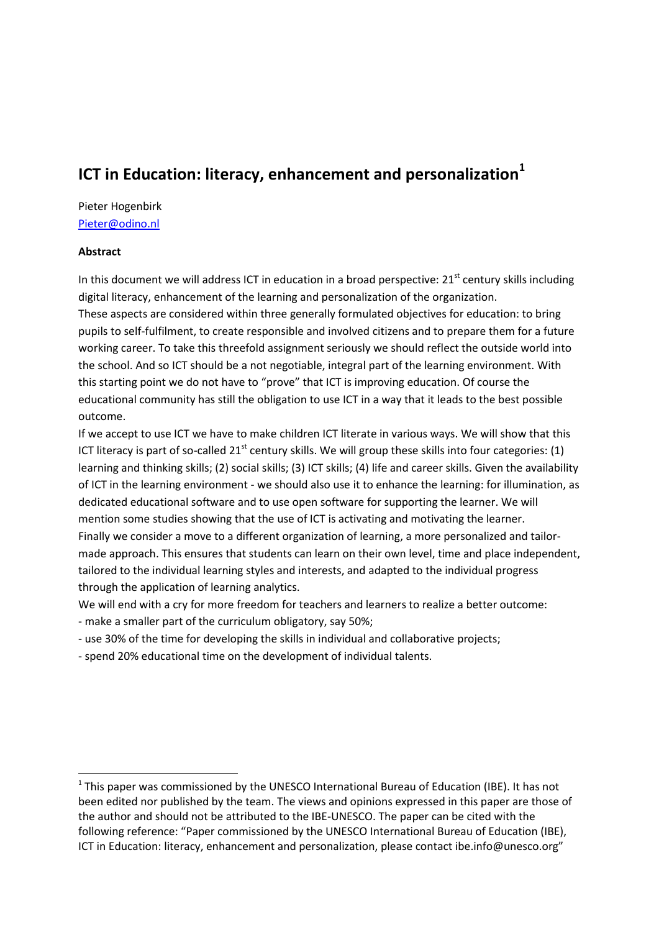# **ICT in Education: literacy, enhancement and personalization**<sup>1</sup>

# Pieter Hogenbirk [Pieter@odino.nl](mailto:Pieter@odino.nl)

## **Abstract**

1

In this document we will address ICT in education in a broad perspective: 21<sup>st</sup> century skills including digital literacy, enhancement of the learning and personalization of the organization. These aspects are considered within three generally formulated objectives for education: to bring pupils to self-fulfilment, to create responsible and involved citizens and to prepare them for a future working career. To take this threefold assignment seriously we should reflect the outside world into the school. And so ICT should be a not negotiable, integral part of the learning environment. With this starting point we do not have to "prove" that ICT is improving education. Of course the educational community has still the obligation to use ICT in a way that it leads to the best possible outcome.

If we accept to use ICT we have to make children ICT literate in various ways. We will show that this ICT literacy is part of so-called  $21<sup>st</sup>$  century skills. We will group these skills into four categories: (1) learning and thinking skills; (2) social skills; (3) ICT skills; (4) life and career skills. Given the availability of ICT in the learning environment - we should also use it to enhance the learning: for illumination, as dedicated educational software and to use open software for supporting the learner. We will mention some studies showing that the use of ICT is activating and motivating the learner. Finally we consider a move to a different organization of learning, a more personalized and tailormade approach. This ensures that students can learn on their own level, time and place independent, tailored to the individual learning styles and interests, and adapted to the individual progress through the application of learning analytics.

We will end with a cry for more freedom for teachers and learners to realize a better outcome:

- make a smaller part of the curriculum obligatory, say 50%;
- use 30% of the time for developing the skills in individual and collaborative projects;
- spend 20% educational time on the development of individual talents.

 $1$ This paper was commissioned by the UNESCO International Bureau of Education (IBE). It has not been edited nor published by the team. The views and opinions expressed in this paper are those of the author and should not be attributed to the IBE-UNESCO. The paper can be cited with the following reference: "Paper commissioned by the UNESCO International Bureau of Education (IBE), ICT in Education: literacy, enhancement and personalization, please contact ibe.info@unesco.org"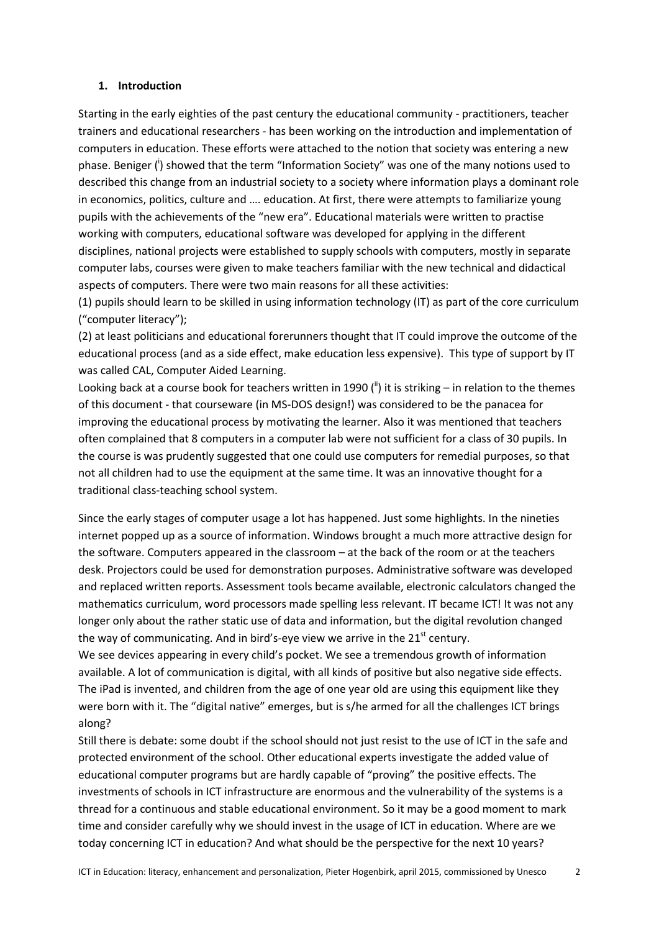#### **1. Introduction**

Starting in the early eighties of the past century the educational community - practitioners, teacher trainers and educational researchers - has been working on the introduction and implementation of computers in education. These efforts were attached to the notion that society was entering a new phase. Beniger (<sup>i</sup>) showed that the term "Information Society" was one of the many notions used to described this change from an industrial society to a society where information plays a dominant role in economics, politics, culture and …. education. At first, there were attempts to familiarize young pupils with the achievements of the "new era". Educational materials were written to practise working with computers, educational software was developed for applying in the different disciplines, national projects were established to supply schools with computers, mostly in separate computer labs, courses were given to make teachers familiar with the new technical and didactical aspects of computers. There were two main reasons for all these activities:

(1) pupils should learn to be skilled in using information technology (IT) as part of the core curriculum ("computer literacy");

(2) at least politicians and educational forerunners thought that IT could improve the outcome of the educational process (and as a side effect, make education less expensive). This type of support by IT was called CAL, Computer Aided Learning.

Looking back at a course book for teachers written in 1990 ( $\frac{1}{1}$ ) it is striking – in relation to the themes of this document - that courseware (in MS-DOS design!) was considered to be the panacea for improving the educational process by motivating the learner. Also it was mentioned that teachers often complained that 8 computers in a computer lab were not sufficient for a class of 30 pupils. In the course is was prudently suggested that one could use computers for remedial purposes, so that not all children had to use the equipment at the same time. It was an innovative thought for a traditional class-teaching school system.

Since the early stages of computer usage a lot has happened. Just some highlights. In the nineties internet popped up as a source of information. Windows brought a much more attractive design for the software. Computers appeared in the classroom – at the back of the room or at the teachers desk. Projectors could be used for demonstration purposes. Administrative software was developed and replaced written reports. Assessment tools became available, electronic calculators changed the mathematics curriculum, word processors made spelling less relevant. IT became ICT! It was not any longer only about the rather static use of data and information, but the digital revolution changed the way of communicating. And in bird's-eye view we arrive in the  $21<sup>st</sup>$  century.

We see devices appearing in every child's pocket. We see a tremendous growth of information available. A lot of communication is digital, with all kinds of positive but also negative side effects. The iPad is invented, and children from the age of one year old are using this equipment like they were born with it. The "digital native" emerges, but is s/he armed for all the challenges ICT brings along?

Still there is debate: some doubt if the school should not just resist to the use of ICT in the safe and protected environment of the school. Other educational experts investigate the added value of educational computer programs but are hardly capable of "proving" the positive effects. The investments of schools in ICT infrastructure are enormous and the vulnerability of the systems is a thread for a continuous and stable educational environment. So it may be a good moment to mark time and consider carefully why we should invest in the usage of ICT in education. Where are we today concerning ICT in education? And what should be the perspective for the next 10 years?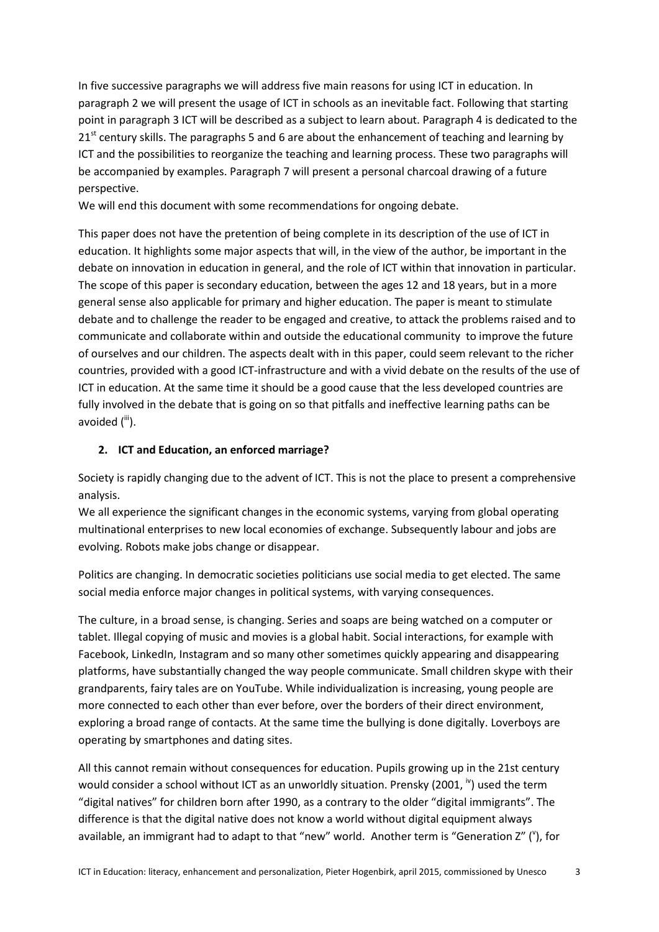In five successive paragraphs we will address five main reasons for using ICT in education. In paragraph 2 we will present the usage of ICT in schools as an inevitable fact. Following that starting point in paragraph 3 ICT will be described as a subject to learn about. Paragraph 4 is dedicated to the  $21<sup>st</sup>$  century skills. The paragraphs 5 and 6 are about the enhancement of teaching and learning by ICT and the possibilities to reorganize the teaching and learning process. These two paragraphs will be accompanied by examples. Paragraph 7 will present a personal charcoal drawing of a future perspective.

We will end this document with some recommendations for ongoing debate.

This paper does not have the pretention of being complete in its description of the use of ICT in education. It highlights some major aspects that will, in the view of the author, be important in the debate on innovation in education in general, and the role of ICT within that innovation in particular. The scope of this paper is secondary education, between the ages 12 and 18 years, but in a more general sense also applicable for primary and higher education. The paper is meant to stimulate debate and to challenge the reader to be engaged and creative, to attack the problems raised and to communicate and collaborate within and outside the educational community to improve the future of ourselves and our children. The aspects dealt with in this paper, could seem relevant to the richer countries, provided with a good ICT-infrastructure and with a vivid debate on the results of the use of ICT in education. At the same time it should be a good cause that the less developed countries are fully involved in the debate that is going on so that pitfalls and ineffective learning paths can be avoided  $(iii)$ .

## **2. ICT and Education, an enforced marriage?**

Society is rapidly changing due to the advent of ICT. This is not the place to present a comprehensive analysis.

We all experience the significant changes in the economic systems, varying from global operating multinational enterprises to new local economies of exchange. Subsequently labour and jobs are evolving. Robots make jobs change or disappear.

Politics are changing. In democratic societies politicians use social media to get elected. The same social media enforce major changes in political systems, with varying consequences.

The culture, in a broad sense, is changing. Series and soaps are being watched on a computer or tablet. Illegal copying of music and movies is a global habit. Social interactions, for example with Facebook, LinkedIn, Instagram and so many other sometimes quickly appearing and disappearing platforms, have substantially changed the way people communicate. Small children skype with their grandparents, fairy tales are on YouTube. While individualization is increasing, young people are more connected to each other than ever before, over the borders of their direct environment, exploring a broad range of contacts. At the same time the bullying is done digitally. Loverboys are operating by smartphones and dating sites.

All this cannot remain without consequences for education. Pupils growing up in the 21st century would consider a school without ICT as an unworldly situation. Prensky  $(2001, \mathrm{iv})$  used the term "digital natives" for children born after 1990, as a contrary to the older "digital immigrants". The difference is that the digital native does not know a world without digital equipment always available, an immigrant had to adapt to that "new" world. Another term is "Generation  $Z''$  ( $'$ ), for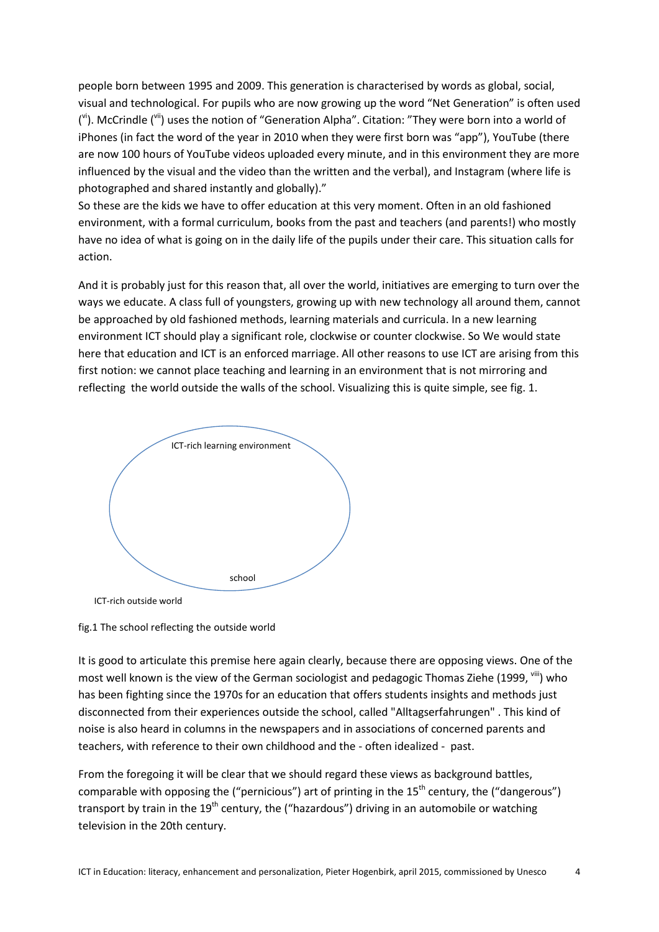people born between 1995 and 2009. This generation is characterised by words as global, social, visual and technological. For pupils who are now growing up the word "Net Generation" is often used (vi). McCrindle (vii) uses the notion of "Generation Alpha". Citation: "They were born into a world of iPhones (in fact the word of the year in 2010 when they were first born was "app"), YouTube (there are now 100 hours of YouTube videos uploaded every minute, and in this environment they are more influenced by the visual and the video than the written and the verbal), and Instagram (where life is photographed and shared instantly and globally)."

So these are the kids we have to offer education at this very moment. Often in an old fashioned environment, with a formal curriculum, books from the past and teachers (and parents!) who mostly have no idea of what is going on in the daily life of the pupils under their care. This situation calls for action.

And it is probably just for this reason that, all over the world, initiatives are emerging to turn over the ways we educate. A class full of youngsters, growing up with new technology all around them, cannot be approached by old fashioned methods, learning materials and curricula. In a new learning environment ICT should play a significant role, clockwise or counter clockwise. So We would state here that education and ICT is an enforced marriage. All other reasons to use ICT are arising from this first notion: we cannot place teaching and learning in an environment that is not mirroring and reflecting the world outside the walls of the school. Visualizing this is quite simple, see fig. 1.



fig.1 The school reflecting the outside world

It is good to articulate this premise here again clearly, because there are opposing views. One of the most well known is the view of the German sociologist and pedagogic Thomas Ziehe (1999, <sup>viii</sup>) who has been fighting since the 1970s for an education that offers students insights and methods just disconnected from their experiences outside the school, called "Alltagserfahrungen" . This kind of noise is also heard in columns in the newspapers and in associations of concerned parents and teachers, with reference to their own childhood and the - often idealized - past.

From the foregoing it will be clear that we should regard these views as background battles, comparable with opposing the ("pernicious") art of printing in the  $15<sup>th</sup>$  century, the ("dangerous") transport by train in the  $19<sup>th</sup>$  century, the ("hazardous") driving in an automobile or watching television in the 20th century.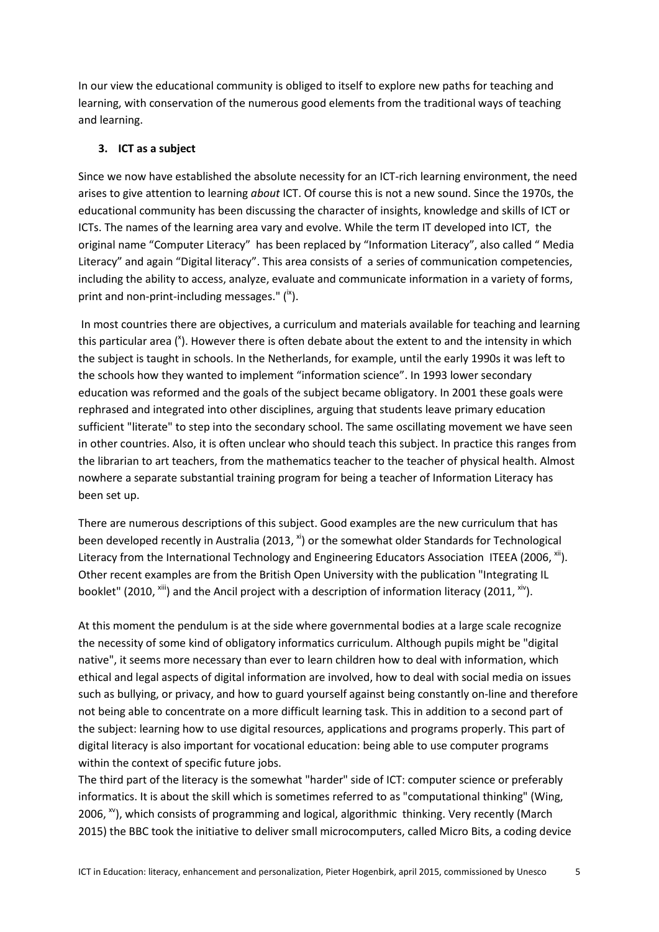In our view the educational community is obliged to itself to explore new paths for teaching and learning, with conservation of the numerous good elements from the traditional ways of teaching and learning.

# **3. ICT as a subject**

Since we now have established the absolute necessity for an ICT-rich learning environment, the need arises to give attention to learning *about* ICT. Of course this is not a new sound. Since the 1970s, the educational community has been discussing the character of insights, knowledge and skills of ICT or ICTs. The names of the learning area vary and evolve. While the term IT developed into ICT, the original name "Computer Literacy" has been replaced by "Information Literacy", also called " Media Literacy" and again "Digital literacy". This area consists of a series of communication competencies, including the ability to access, analyze, evaluate and communicate information in a variety of forms, print and non-print-including messages."  $(^{ix})$ .

In most countries there are objectives, a curriculum and materials available for teaching and learning this particular area (<sup>x</sup>). However there is often debate about the extent to and the intensity in which the subject is taught in schools. In the Netherlands, for example, until the early 1990s it was left to the schools how they wanted to implement "information science". In 1993 lower secondary education was reformed and the goals of the subject became obligatory. In 2001 these goals were rephrased and integrated into other disciplines, arguing that students leave primary education sufficient "literate" to step into the secondary school. The same oscillating movement we have seen in other countries. Also, it is often unclear who should teach this subject. In practice this ranges from the librarian to art teachers, from the mathematics teacher to the teacher of physical health. Almost nowhere a separate substantial training program for being a teacher of Information Literacy has been set up.

There are numerous descriptions of this subject. Good examples are the new curriculum that has been developed recently in Australia (2013,  $x$ <sup>i</sup>) or the somewhat older Standards for Technological Literacy from the International Technology and Engineering Educators Association ITEEA (2006, xii). Other recent examples are from the British Open University with the publication "Integrating IL booklet" (2010,  $x^{1/1}$ ) and the Ancil project with a description of information literacy (2011,  $x^{1/1}$ ).

At this moment the pendulum is at the side where governmental bodies at a large scale recognize the necessity of some kind of obligatory informatics curriculum. Although pupils might be "digital native", it seems more necessary than ever to learn children how to deal with information, which ethical and legal aspects of digital information are involved, how to deal with social media on issues such as bullying, or privacy, and how to guard yourself against being constantly on-line and therefore not being able to concentrate on a more difficult learning task. This in addition to a second part of the subject: learning how to use digital resources, applications and programs properly. This part of digital literacy is also important for vocational education: being able to use computer programs within the context of specific future jobs.

The third part of the literacy is the somewhat "harder" side of ICT: computer science or preferably informatics. It is about the skill which is sometimes referred to as "computational thinking" (Wing, 2006,  $w$ ), which consists of programming and logical, algorithmic thinking. Very recently (March 2015) the BBC took the initiative to deliver small microcomputers, called Micro Bits, a coding device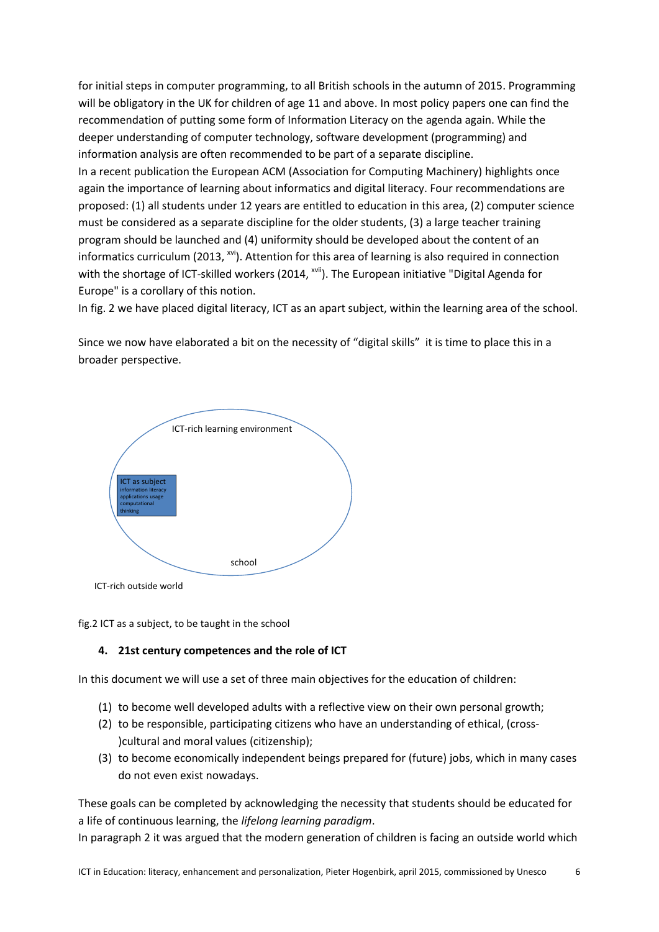for initial steps in computer programming, to all British schools in the autumn of 2015. Programming will be obligatory in the UK for children of age 11 and above. In most policy papers one can find the recommendation of putting some form of Information Literacy on the agenda again. While the deeper understanding of computer technology, software development (programming) and information analysis are often recommended to be part of a separate discipline. In a recent publication the European ACM (Association for Computing Machinery) highlights once again the importance of learning about informatics and digital literacy. Four recommendations are proposed: (1) all students under 12 years are entitled to education in this area, (2) computer science must be considered as a separate discipline for the older students, (3) a large teacher training program should be launched and (4) uniformity should be developed about the content of an informatics curriculum (2013,  $x^{v}$ ). Attention for this area of learning is also required in connection with the shortage of ICT-skilled workers (2014, <sup>xvii</sup>). The European initiative "Digital Agenda for Europe" is a corollary of this notion.

In fig. 2 we have placed digital literacy, ICT as an apart subject, within the learning area of the school.

Since we now have elaborated a bit on the necessity of "digital skills" it is time to place this in a broader perspective.



fig.2 ICT as a subject, to be taught in the school

## **4. 21st century competences and the role of ICT**

In this document we will use a set of three main objectives for the education of children:

- (1) to become well developed adults with a reflective view on their own personal growth;
- (2) to be responsible, participating citizens who have an understanding of ethical, (cross- )cultural and moral values (citizenship);
- (3) to become economically independent beings prepared for (future) jobs, which in many cases do not even exist nowadays.

These goals can be completed by acknowledging the necessity that students should be educated for a life of continuous learning, the *lifelong learning paradigm*.

In paragraph 2 it was argued that the modern generation of children is facing an outside world which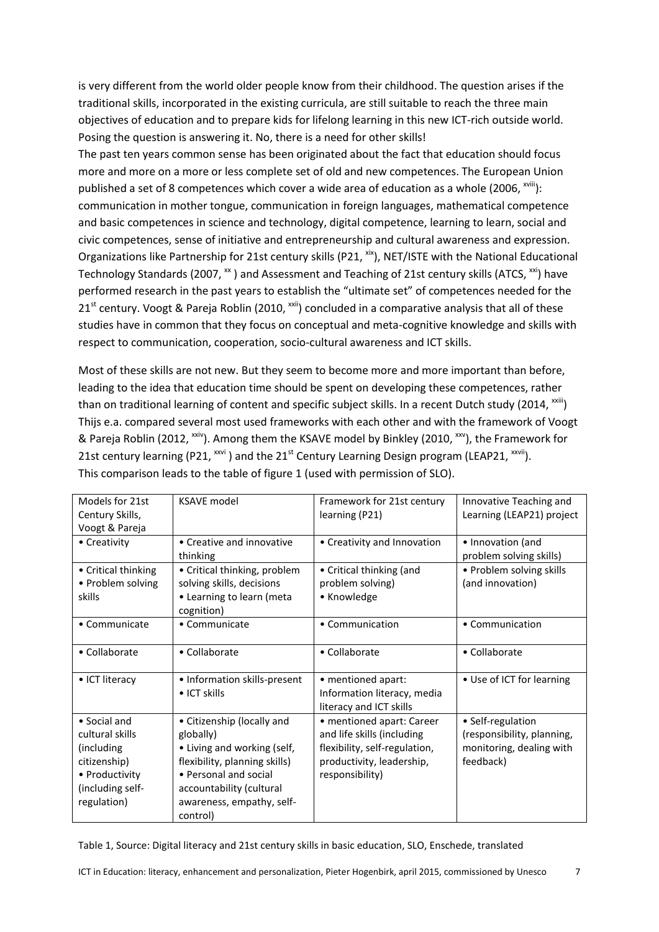is very different from the world older people know from their childhood. The question arises if the traditional skills, incorporated in the existing curricula, are still suitable to reach the three main objectives of education and to prepare kids for lifelong learning in this new ICT-rich outside world. Posing the question is answering it. No, there is a need for other skills! The past ten years common sense has been originated about the fact that education should focus more and more on a more or less complete set of old and new competences. The European Union published a set of 8 competences which cover a wide area of education as a whole (2006,  $x^{x^2}$ ): communication in mother tongue, communication in foreign languages, mathematical competence and basic competences in science and technology, digital competence, learning to learn, social and civic competences, sense of initiative and entrepreneurship and cultural awareness and expression. Organizations like Partnership for 21st century skills (P21, xix), NET/ISTE with the National Educational Technology Standards (2007,  $\frac{1}{x}$ ) and Assessment and Teaching of 21st century skills (ATCS,  $\frac{1}{x}$ ) have performed research in the past years to establish the "ultimate set" of competences needed for the  $21<sup>st</sup>$  century. Voogt & Pareja Roblin (2010, <sup>xxii</sup>) concluded in a comparative analysis that all of these studies have in common that they focus on conceptual and meta-cognitive knowledge and skills with respect to communication, cooperation, socio-cultural awareness and ICT skills.

Most of these skills are not new. But they seem to become more and more important than before, leading to the idea that education time should be spent on developing these competences, rather than on traditional learning of content and specific subject skills. In a recent Dutch study (2014, xxiii) Thijs e.a. compared several most used frameworks with each other and with the framework of Voogt & Pareja Roblin (2012, <sup>xxiv</sup>). Among them the KSAVE model by Binkley (2010, <sup>xxv</sup>), the Framework for 21st century learning (P21,  $^{xxvi}$ ) and the 21<sup>st</sup> Century Learning Design program (LEAP21,  $^{xxvii}$ ). This comparison leads to the table of figure 1 (used with permission of SLO).

| Models for 21st<br><b>KSAVE model</b><br>Innovative Teaching and<br>Framework for 21st century<br>Learning (LEAP21) project<br>learning (P21)<br>Century Skills,<br>Voogt & Pareja<br>• Creative and innovative<br>• Creativity and Innovation<br>• Creativity<br>• Innovation (and<br>problem solving skills)<br>thinking<br>• Problem solving skills<br>• Critical thinking<br>• Critical thinking, problem<br>• Critical thinking (and<br>• Problem solving<br>solving skills, decisions<br>problem solving)<br>(and innovation)<br>• Learning to learn (meta<br>• Knowledge<br>skills<br>cognition)<br>• Communicate<br>• Communicate<br>• Communication<br>• Communication<br>• Collaborate<br>• Collaborate<br>• Collaborate<br>• Collaborate<br>• ICT literacy<br>• Information skills-present<br>• mentioned apart:<br>• Use of ICT for learning<br>$\bullet$ ICT skills<br>Information literacy, media<br>literacy and ICT skills<br>• Social and<br>• Citizenship (locally and<br>• mentioned apart: Career<br>• Self-regulation<br>and life skills (including<br>cultural skills<br>(responsibility, planning,<br>globally)<br>flexibility, self-regulation,<br>• Living and working (self,<br>monitoring, dealing with<br>(including)<br>flexibility, planning skills)<br>feedback)<br>citizenship)<br>productivity, leadership,<br>• Personal and social<br>• Productivity<br>responsibility)<br>(including self-<br>accountability (cultural<br>awareness, empathy, self-<br>regulation)<br>control) |  |  |
|--------------------------------------------------------------------------------------------------------------------------------------------------------------------------------------------------------------------------------------------------------------------------------------------------------------------------------------------------------------------------------------------------------------------------------------------------------------------------------------------------------------------------------------------------------------------------------------------------------------------------------------------------------------------------------------------------------------------------------------------------------------------------------------------------------------------------------------------------------------------------------------------------------------------------------------------------------------------------------------------------------------------------------------------------------------------------------------------------------------------------------------------------------------------------------------------------------------------------------------------------------------------------------------------------------------------------------------------------------------------------------------------------------------------------------------------------------------------------------------------------------------------|--|--|
|                                                                                                                                                                                                                                                                                                                                                                                                                                                                                                                                                                                                                                                                                                                                                                                                                                                                                                                                                                                                                                                                                                                                                                                                                                                                                                                                                                                                                                                                                                                    |  |  |
|                                                                                                                                                                                                                                                                                                                                                                                                                                                                                                                                                                                                                                                                                                                                                                                                                                                                                                                                                                                                                                                                                                                                                                                                                                                                                                                                                                                                                                                                                                                    |  |  |
|                                                                                                                                                                                                                                                                                                                                                                                                                                                                                                                                                                                                                                                                                                                                                                                                                                                                                                                                                                                                                                                                                                                                                                                                                                                                                                                                                                                                                                                                                                                    |  |  |
|                                                                                                                                                                                                                                                                                                                                                                                                                                                                                                                                                                                                                                                                                                                                                                                                                                                                                                                                                                                                                                                                                                                                                                                                                                                                                                                                                                                                                                                                                                                    |  |  |
|                                                                                                                                                                                                                                                                                                                                                                                                                                                                                                                                                                                                                                                                                                                                                                                                                                                                                                                                                                                                                                                                                                                                                                                                                                                                                                                                                                                                                                                                                                                    |  |  |
|                                                                                                                                                                                                                                                                                                                                                                                                                                                                                                                                                                                                                                                                                                                                                                                                                                                                                                                                                                                                                                                                                                                                                                                                                                                                                                                                                                                                                                                                                                                    |  |  |
|                                                                                                                                                                                                                                                                                                                                                                                                                                                                                                                                                                                                                                                                                                                                                                                                                                                                                                                                                                                                                                                                                                                                                                                                                                                                                                                                                                                                                                                                                                                    |  |  |
|                                                                                                                                                                                                                                                                                                                                                                                                                                                                                                                                                                                                                                                                                                                                                                                                                                                                                                                                                                                                                                                                                                                                                                                                                                                                                                                                                                                                                                                                                                                    |  |  |
|                                                                                                                                                                                                                                                                                                                                                                                                                                                                                                                                                                                                                                                                                                                                                                                                                                                                                                                                                                                                                                                                                                                                                                                                                                                                                                                                                                                                                                                                                                                    |  |  |
|                                                                                                                                                                                                                                                                                                                                                                                                                                                                                                                                                                                                                                                                                                                                                                                                                                                                                                                                                                                                                                                                                                                                                                                                                                                                                                                                                                                                                                                                                                                    |  |  |
|                                                                                                                                                                                                                                                                                                                                                                                                                                                                                                                                                                                                                                                                                                                                                                                                                                                                                                                                                                                                                                                                                                                                                                                                                                                                                                                                                                                                                                                                                                                    |  |  |
|                                                                                                                                                                                                                                                                                                                                                                                                                                                                                                                                                                                                                                                                                                                                                                                                                                                                                                                                                                                                                                                                                                                                                                                                                                                                                                                                                                                                                                                                                                                    |  |  |
|                                                                                                                                                                                                                                                                                                                                                                                                                                                                                                                                                                                                                                                                                                                                                                                                                                                                                                                                                                                                                                                                                                                                                                                                                                                                                                                                                                                                                                                                                                                    |  |  |
|                                                                                                                                                                                                                                                                                                                                                                                                                                                                                                                                                                                                                                                                                                                                                                                                                                                                                                                                                                                                                                                                                                                                                                                                                                                                                                                                                                                                                                                                                                                    |  |  |
|                                                                                                                                                                                                                                                                                                                                                                                                                                                                                                                                                                                                                                                                                                                                                                                                                                                                                                                                                                                                                                                                                                                                                                                                                                                                                                                                                                                                                                                                                                                    |  |  |
|                                                                                                                                                                                                                                                                                                                                                                                                                                                                                                                                                                                                                                                                                                                                                                                                                                                                                                                                                                                                                                                                                                                                                                                                                                                                                                                                                                                                                                                                                                                    |  |  |
|                                                                                                                                                                                                                                                                                                                                                                                                                                                                                                                                                                                                                                                                                                                                                                                                                                                                                                                                                                                                                                                                                                                                                                                                                                                                                                                                                                                                                                                                                                                    |  |  |
|                                                                                                                                                                                                                                                                                                                                                                                                                                                                                                                                                                                                                                                                                                                                                                                                                                                                                                                                                                                                                                                                                                                                                                                                                                                                                                                                                                                                                                                                                                                    |  |  |
|                                                                                                                                                                                                                                                                                                                                                                                                                                                                                                                                                                                                                                                                                                                                                                                                                                                                                                                                                                                                                                                                                                                                                                                                                                                                                                                                                                                                                                                                                                                    |  |  |
|                                                                                                                                                                                                                                                                                                                                                                                                                                                                                                                                                                                                                                                                                                                                                                                                                                                                                                                                                                                                                                                                                                                                                                                                                                                                                                                                                                                                                                                                                                                    |  |  |
|                                                                                                                                                                                                                                                                                                                                                                                                                                                                                                                                                                                                                                                                                                                                                                                                                                                                                                                                                                                                                                                                                                                                                                                                                                                                                                                                                                                                                                                                                                                    |  |  |
|                                                                                                                                                                                                                                                                                                                                                                                                                                                                                                                                                                                                                                                                                                                                                                                                                                                                                                                                                                                                                                                                                                                                                                                                                                                                                                                                                                                                                                                                                                                    |  |  |
|                                                                                                                                                                                                                                                                                                                                                                                                                                                                                                                                                                                                                                                                                                                                                                                                                                                                                                                                                                                                                                                                                                                                                                                                                                                                                                                                                                                                                                                                                                                    |  |  |
|                                                                                                                                                                                                                                                                                                                                                                                                                                                                                                                                                                                                                                                                                                                                                                                                                                                                                                                                                                                                                                                                                                                                                                                                                                                                                                                                                                                                                                                                                                                    |  |  |

Table 1, Source: Digital literacy and 21st century skills in basic education, SLO, Enschede, translated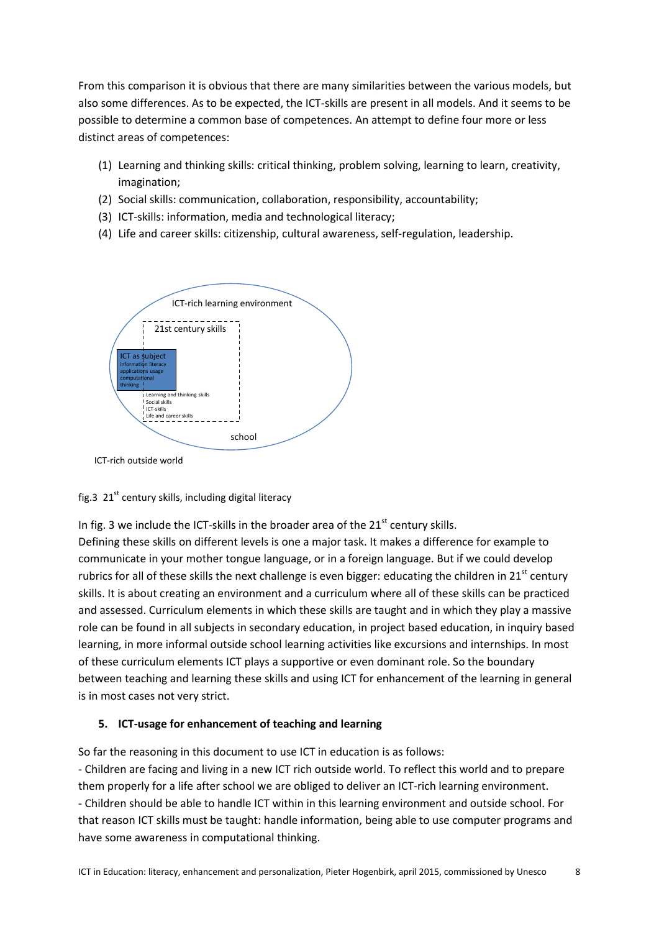From this comparison it is obvious that there are many similarities between the various models, but also some differences. As to be expected, the ICT-skills are present in all models. And it seems to be possible to determine a common base of competences. An attempt to define four more or less distinct areas of competences:

- (1) Learning and thinking skills: critical thinking, problem solving, learning to learn, creativity, imagination;
- (2) Social skills: communication, collaboration, responsibility, accountability;
- (3) ICT-skills: information, media and technological literacy;
- (4) Life and career skills: citizenship, cultural awareness, self-regulation, leadership.



ICT-rich outside world

## fig.3  $21^{st}$  century skills, including digital literacy

In fig. 3 we include the ICT-skills in the broader area of the  $21<sup>st</sup>$  century skills.

Defining these skills on different levels is one a major task. It makes a difference for example to communicate in your mother tongue language, or in a foreign language. But if we could develop rubrics for all of these skills the next challenge is even bigger: educating the children in  $21<sup>st</sup>$  century skills. It is about creating an environment and a curriculum where all of these skills can be practiced and assessed. Curriculum elements in which these skills are taught and in which they play a massive role can be found in all subjects in secondary education, in project based education, in inquiry based learning, in more informal outside school learning activities like excursions and internships. In most of these curriculum elements ICT plays a supportive or even dominant role. So the boundary between teaching and learning these skills and using ICT for enhancement of the learning in general is in most cases not very strict.

## **5. ICT-usage for enhancement of teaching and learning**

So far the reasoning in this document to use ICT in education is as follows:

- Children are facing and living in a new ICT rich outside world. To reflect this world and to prepare them properly for a life after school we are obliged to deliver an ICT-rich learning environment. - Children should be able to handle ICT within in this learning environment and outside school. For that reason ICT skills must be taught: handle information, being able to use computer programs and have some awareness in computational thinking.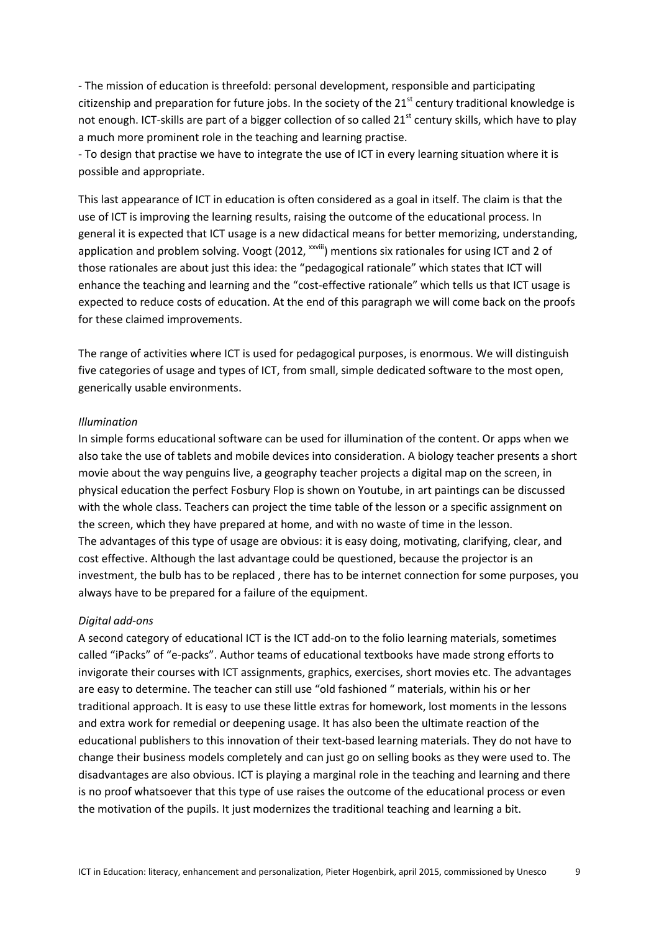- The mission of education is threefold: personal development, responsible and participating citizenship and preparation for future jobs. In the society of the  $21<sup>st</sup>$  century traditional knowledge is not enough. ICT-skills are part of a bigger collection of so called 21<sup>st</sup> century skills, which have to play a much more prominent role in the teaching and learning practise.

- To design that practise we have to integrate the use of ICT in every learning situation where it is possible and appropriate.

This last appearance of ICT in education is often considered as a goal in itself. The claim is that the use of ICT is improving the learning results, raising the outcome of the educational process. In general it is expected that ICT usage is a new didactical means for better memorizing, understanding, application and problem solving. Voogt (2012, <sup>xxviii</sup>) mentions six rationales for using ICT and 2 of those rationales are about just this idea: the "pedagogical rationale" which states that ICT will enhance the teaching and learning and the "cost-effective rationale" which tells us that ICT usage is expected to reduce costs of education. At the end of this paragraph we will come back on the proofs for these claimed improvements.

The range of activities where ICT is used for pedagogical purposes, is enormous. We will distinguish five categories of usage and types of ICT, from small, simple dedicated software to the most open, generically usable environments.

#### *Illumination*

In simple forms educational software can be used for illumination of the content. Or apps when we also take the use of tablets and mobile devices into consideration. A biology teacher presents a short movie about the way penguins live, a geography teacher projects a digital map on the screen, in physical education the perfect Fosbury Flop is shown on Youtube, in art paintings can be discussed with the whole class. Teachers can project the time table of the lesson or a specific assignment on the screen, which they have prepared at home, and with no waste of time in the lesson. The advantages of this type of usage are obvious: it is easy doing, motivating, clarifying, clear, and cost effective. Although the last advantage could be questioned, because the projector is an investment, the bulb has to be replaced , there has to be internet connection for some purposes, you always have to be prepared for a failure of the equipment.

#### *Digital add-ons*

A second category of educational ICT is the ICT add-on to the folio learning materials, sometimes called "iPacks" of "e-packs". Author teams of educational textbooks have made strong efforts to invigorate their courses with ICT assignments, graphics, exercises, short movies etc. The advantages are easy to determine. The teacher can still use "old fashioned " materials, within his or her traditional approach. It is easy to use these little extras for homework, lost moments in the lessons and extra work for remedial or deepening usage. It has also been the ultimate reaction of the educational publishers to this innovation of their text-based learning materials. They do not have to change their business models completely and can just go on selling books as they were used to. The disadvantages are also obvious. ICT is playing a marginal role in the teaching and learning and there is no proof whatsoever that this type of use raises the outcome of the educational process or even the motivation of the pupils. It just modernizes the traditional teaching and learning a bit.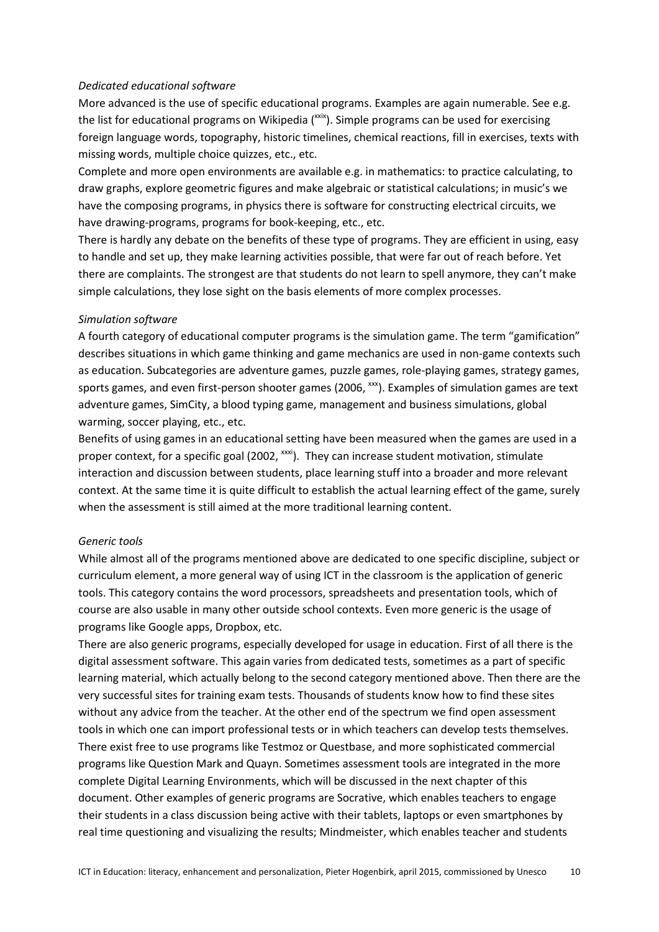### *Dedicated educational software*

More advanced is the use of specific educational programs. Examples are again numerable. See e.g. the list for educational programs on Wikipedia  $(xx/2)$ . Simple programs can be used for exercising foreign language words, topography, historic timelines, chemical reactions, fill in exercises, texts with missing words, multiple choice quizzes, etc., etc.

Complete and more open environments are available e.g. in mathematics: to practice calculating, to draw graphs, explore geometric figures and make algebraic or statistical calculations; in music's we have the composing programs, in physics there is software for constructing electrical circuits, we have drawing-programs, programs for book-keeping, etc., etc.

There is hardly any debate on the benefits of these type of programs. They are efficient in using, easy to handle and set up, they make learning activities possible, that were far out of reach before. Yet there are complaints. The strongest are that students do not learn to spell anymore, they can't make simple calculations, they lose sight on the basis elements of more complex processes.

#### *Simulation software*

A fourth category of educational computer programs is the simulation game. The term "gamification" describes situations in which game thinking and game mechanics are used in non-game contexts such as education. Subcategories are adventure games, puzzle games, role-playing games, strategy games, sports games, and even first-person shooter games (2006, xxx). Examples of simulation games are text adventure games, SimCity, a blood typing game, management and business simulations, global warming, soccer playing, etc., etc.

Benefits of using games in an educational setting have been measured when the games are used in a proper context, for a specific goal (2002, <sup>xxxi</sup>). They can increase student motivation, stimulate interaction and discussion between students, place learning stuff into a broader and more relevant context. At the same time it is quite difficult to establish the actual learning effect of the game, surely when the assessment is still aimed at the more traditional learning content.

#### *Generic tools*

While almost all of the programs mentioned above are dedicated to one specific discipline, subject or curriculum element, a more general way of using ICT in the classroom is the application of generic tools. This category contains the word processors, spreadsheets and presentation tools, which of course are also usable in many other outside school contexts. Even more generic is the usage of programs like Google apps, Dropbox, etc.

There are also generic programs, especially developed for usage in education. First of all there is the digital assessment software. This again varies from dedicated tests, sometimes as a part of specific learning material, which actually belong to the second category mentioned above. Then there are the very successful sites for training exam tests. Thousands of students know how to find these sites without any advice from the teacher. At the other end of the spectrum we find open assessment tools in which one can import professional tests or in which teachers can develop tests themselves. There exist free to use programs like Testmoz or Questbase, and more sophisticated commercial programs like Question Mark and Quayn. Sometimes assessment tools are integrated in the more complete Digital Learning Environments, which will be discussed in the next chapter of this document. Other examples of generic programs are Socrative, which enables teachers to engage their students in a class discussion being active with their tablets, laptops or even smartphones by real time questioning and visualizing the results; Mindmeister, which enables teacher and students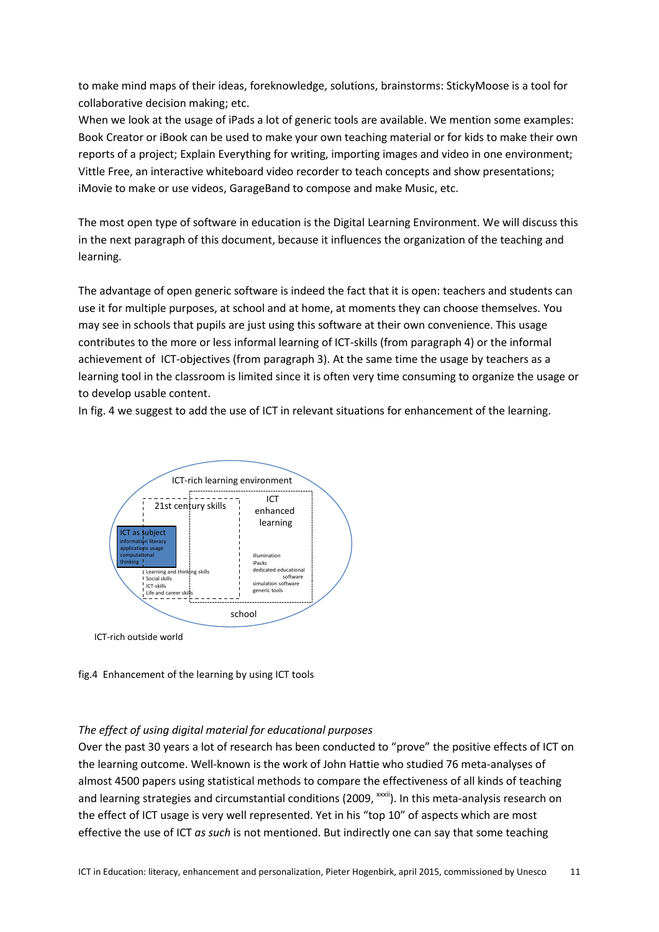to make mind maps of their ideas, foreknowledge, solutions, brainstorms: StickyMoose is a tool for collaborative decision making; etc.

When we look at the usage of iPads a lot of generic tools are available. We mention some examples: Book Creator or iBook can be used to make your own teaching material or for kids to make their own reports of a project; Explain Everything for writing, importing images and video in one environment; Vittle Free, an interactive whiteboard video recorder to teach concepts and show presentations; iMovie to make or use videos, GarageBand to compose and make Music, etc.

The most open type of software in education is the Digital Learning Environment. We will discuss this in the next paragraph of this document, because it influences the organization of the teaching and learning.

The advantage of open generic software is indeed the fact that it is open: teachers and students can use it for multiple purposes, at school and at home, at moments they can choose themselves. You may see in schools that pupils are just using this software at their own convenience. This usage contributes to the more or less informal learning of ICT-skills (from paragraph 4) or the informal achievement of ICT-objectives (from paragraph 3). At the same time the usage by teachers as a learning tool in the classroom is limited since it is often very time consuming to organize the usage or to develop usable content.

In fig. 4 we suggest to add the use of ICT in relevant situations for enhancement of the learning.



fig.4 Enhancement of the learning by using ICT tools

# *The effect of using digital material for educational purposes*

Over the past 30 years a lot of research has been conducted to "prove" the positive effects of ICT on the learning outcome. Well-known is the work of John Hattie who studied 76 meta-analyses of almost 4500 papers using statistical methods to compare the effectiveness of all kinds of teaching and learning strategies and circumstantial conditions (2009, <sup>xxxii</sup>). In this meta-analysis research on the effect of ICT usage is very well represented. Yet in his "top 10" of aspects which are most effective the use of ICT *as such* is not mentioned. But indirectly one can say that some teaching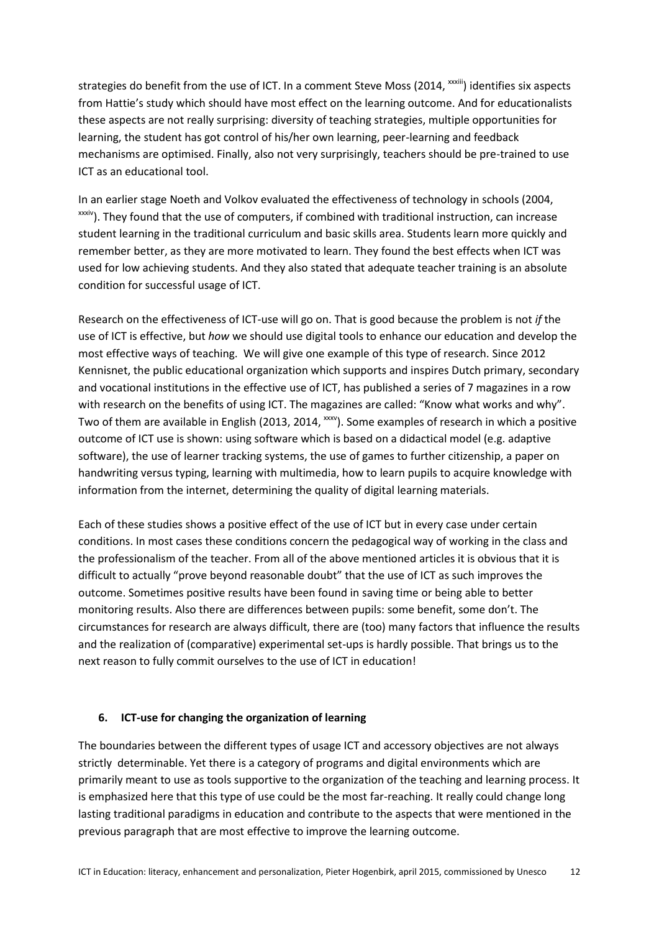strategies do benefit from the use of ICT. In a comment Steve Moss (2014, xxxiii) identifies six aspects from Hattie's study which should have most effect on the learning outcome. And for educationalists these aspects are not really surprising: diversity of teaching strategies, multiple opportunities for learning, the student has got control of his/her own learning, peer-learning and feedback mechanisms are optimised. Finally, also not very surprisingly, teachers should be pre-trained to use ICT as an educational tool.

In an earlier stage Noeth and Volkov evaluated the effectiveness of technology in schools (2004, xxxiv). They found that the use of computers, if combined with traditional instruction, can increase student learning in the traditional curriculum and basic skills area. Students learn more quickly and remember better, as they are more motivated to learn. They found the best effects when ICT was used for low achieving students. And they also stated that adequate teacher training is an absolute condition for successful usage of ICT.

Research on the effectiveness of ICT-use will go on. That is good because the problem is not *if* the use of ICT is effective, but *how* we should use digital tools to enhance our education and develop the most effective ways of teaching. We will give one example of this type of research. Since 2012 Kennisnet, the public educational organization which supports and inspires Dutch primary, secondary and vocational institutions in the effective use of ICT, has published a series of 7 magazines in a row with research on the benefits of using ICT. The magazines are called: "Know what works and why". Two of them are available in English (2013, 2014, xxxv). Some examples of research in which a positive outcome of ICT use is shown: using software which is based on a didactical model (e.g. adaptive software), the use of learner tracking systems, the use of games to further citizenship, a paper on handwriting versus typing, learning with multimedia, how to learn pupils to acquire knowledge with information from the internet, determining the quality of digital learning materials.

Each of these studies shows a positive effect of the use of ICT but in every case under certain conditions. In most cases these conditions concern the pedagogical way of working in the class and the professionalism of the teacher. From all of the above mentioned articles it is obvious that it is difficult to actually "prove beyond reasonable doubt" that the use of ICT as such improves the outcome. Sometimes positive results have been found in saving time or being able to better monitoring results. Also there are differences between pupils: some benefit, some don't. The circumstances for research are always difficult, there are (too) many factors that influence the results and the realization of (comparative) experimental set-ups is hardly possible. That brings us to the next reason to fully commit ourselves to the use of ICT in education!

## **6. ICT-use for changing the organization of learning**

The boundaries between the different types of usage ICT and accessory objectives are not always strictly determinable. Yet there is a category of programs and digital environments which are primarily meant to use as tools supportive to the organization of the teaching and learning process. It is emphasized here that this type of use could be the most far-reaching. It really could change long lasting traditional paradigms in education and contribute to the aspects that were mentioned in the previous paragraph that are most effective to improve the learning outcome.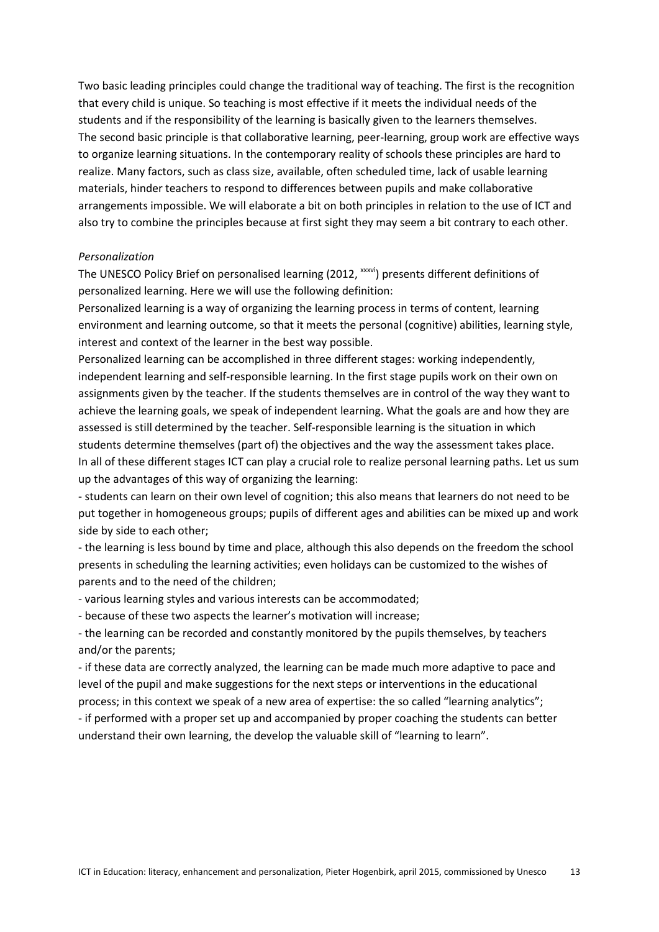Two basic leading principles could change the traditional way of teaching. The first is the recognition that every child is unique. So teaching is most effective if it meets the individual needs of the students and if the responsibility of the learning is basically given to the learners themselves. The second basic principle is that collaborative learning, peer-learning, group work are effective ways to organize learning situations. In the contemporary reality of schools these principles are hard to realize. Many factors, such as class size, available, often scheduled time, lack of usable learning materials, hinder teachers to respond to differences between pupils and make collaborative arrangements impossible. We will elaborate a bit on both principles in relation to the use of ICT and also try to combine the principles because at first sight they may seem a bit contrary to each other.

#### *Personalization*

The UNESCO Policy Brief on personalised learning (2012, xxxvi) presents different definitions of personalized learning. Here we will use the following definition:

Personalized learning is a way of organizing the learning process in terms of content, learning environment and learning outcome, so that it meets the personal (cognitive) abilities, learning style, interest and context of the learner in the best way possible.

Personalized learning can be accomplished in three different stages: working independently, independent learning and self-responsible learning. In the first stage pupils work on their own on assignments given by the teacher. If the students themselves are in control of the way they want to achieve the learning goals, we speak of independent learning. What the goals are and how they are assessed is still determined by the teacher. Self-responsible learning is the situation in which students determine themselves (part of) the objectives and the way the assessment takes place. In all of these different stages ICT can play a crucial role to realize personal learning paths. Let us sum up the advantages of this way of organizing the learning:

- students can learn on their own level of cognition; this also means that learners do not need to be put together in homogeneous groups; pupils of different ages and abilities can be mixed up and work side by side to each other;

- the learning is less bound by time and place, although this also depends on the freedom the school presents in scheduling the learning activities; even holidays can be customized to the wishes of parents and to the need of the children;

- various learning styles and various interests can be accommodated;

- because of these two aspects the learner's motivation will increase;

- the learning can be recorded and constantly monitored by the pupils themselves, by teachers and/or the parents;

- if these data are correctly analyzed, the learning can be made much more adaptive to pace and level of the pupil and make suggestions for the next steps or interventions in the educational process; in this context we speak of a new area of expertise: the so called "learning analytics";

- if performed with a proper set up and accompanied by proper coaching the students can better understand their own learning, the develop the valuable skill of "learning to learn".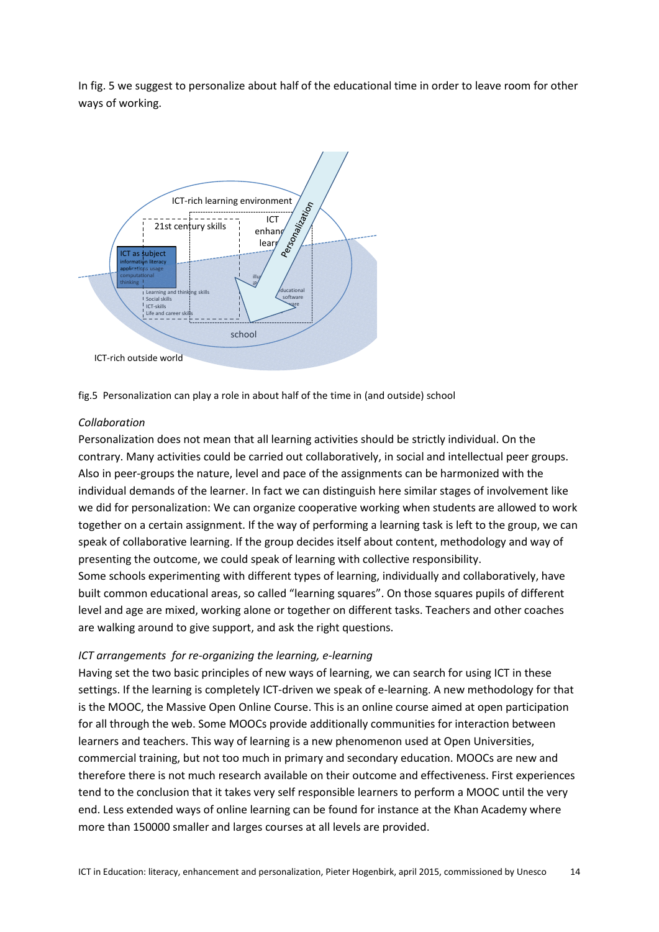In fig. 5 we suggest to personalize about half of the educational time in order to leave room for other ways of working.



fig.5 Personalization can play a role in about half of the time in (and outside) school

## *Collaboration*

Personalization does not mean that all learning activities should be strictly individual. On the contrary. Many activities could be carried out collaboratively, in social and intellectual peer groups. Also in peer-groups the nature, level and pace of the assignments can be harmonized with the individual demands of the learner. In fact we can distinguish here similar stages of involvement like we did for personalization: We can organize cooperative working when students are allowed to work together on a certain assignment. If the way of performing a learning task is left to the group, we can speak of collaborative learning. If the group decides itself about content, methodology and way of presenting the outcome, we could speak of learning with collective responsibility. Some schools experimenting with different types of learning, individually and collaboratively, have built common educational areas, so called "learning squares". On those squares pupils of different level and age are mixed, working alone or together on different tasks. Teachers and other coaches

## *ICT arrangements for re-organizing the learning, e-learning*

are walking around to give support, and ask the right questions.

Having set the two basic principles of new ways of learning, we can search for using ICT in these settings. If the learning is completely ICT-driven we speak of e-learning. A new methodology for that is the MOOC, the Massive Open Online Course. This is an online course aimed at open participation for all through the web. Some MOOCs provide additionally communities for interaction between learners and teachers. This way of learning is a new phenomenon used at Open Universities, commercial training, but not too much in primary and secondary education. MOOCs are new and therefore there is not much research available on their outcome and effectiveness. First experiences tend to the conclusion that it takes very self responsible learners to perform a MOOC until the very end. Less extended ways of online learning can be found for instance at the Khan Academy where more than 150000 smaller and larges courses at all levels are provided.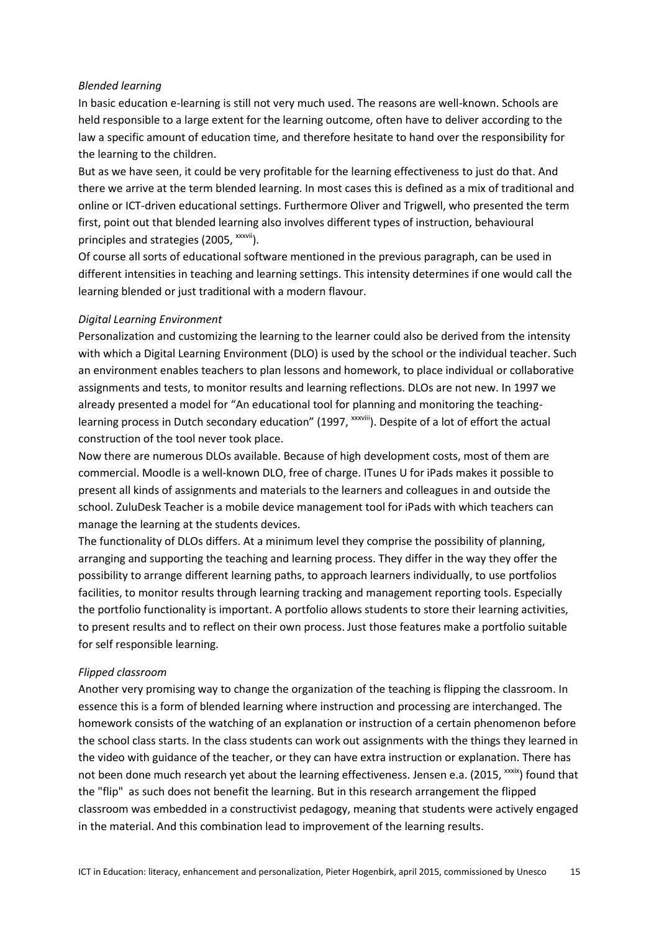#### *Blended learning*

In basic education e-learning is still not very much used. The reasons are well-known. Schools are held responsible to a large extent for the learning outcome, often have to deliver according to the law a specific amount of education time, and therefore hesitate to hand over the responsibility for the learning to the children.

But as we have seen, it could be very profitable for the learning effectiveness to just do that. And there we arrive at the term blended learning. In most cases this is defined as a mix of traditional and online or ICT-driven educational settings. Furthermore Oliver and Trigwell, who presented the term first, point out that blended learning also involves different types of instruction, behavioural principles and strategies (2005, xxxvii).

Of course all sorts of educational software mentioned in the previous paragraph, can be used in different intensities in teaching and learning settings. This intensity determines if one would call the learning blended or just traditional with a modern flavour.

#### *Digital Learning Environment*

Personalization and customizing the learning to the learner could also be derived from the intensity with which a Digital Learning Environment (DLO) is used by the school or the individual teacher. Such an environment enables teachers to plan lessons and homework, to place individual or collaborative assignments and tests, to monitor results and learning reflections. DLOs are not new. In 1997 we already presented a model for "An educational tool for planning and monitoring the teachinglearning process in Dutch secondary education" (1997, xxxviii). Despite of a lot of effort the actual construction of the tool never took place.

Now there are numerous DLOs available. Because of high development costs, most of them are commercial. Moodle is a well-known DLO, free of charge. ITunes U for iPads makes it possible to present all kinds of assignments and materials to the learners and colleagues in and outside the school. ZuluDesk Teacher is a mobile device management tool for iPads with which teachers can manage the learning at the students devices.

The functionality of DLOs differs. At a minimum level they comprise the possibility of planning, arranging and supporting the teaching and learning process. They differ in the way they offer the possibility to arrange different learning paths, to approach learners individually, to use portfolios facilities, to monitor results through learning tracking and management reporting tools. Especially the portfolio functionality is important. A portfolio allows students to store their learning activities, to present results and to reflect on their own process. Just those features make a portfolio suitable for self responsible learning.

## *Flipped classroom*

Another very promising way to change the organization of the teaching is flipping the classroom. In essence this is a form of blended learning where instruction and processing are interchanged. The homework consists of the watching of an explanation or instruction of a certain phenomenon before the school class starts. In the class students can work out assignments with the things they learned in the video with guidance of the teacher, or they can have extra instruction or explanation. There has not been done much research yet about the learning effectiveness. Jensen e.a. (2015, xxxix) found that the "flip" as such does not benefit the learning. But in this research arrangement the flipped classroom was embedded in a constructivist pedagogy, meaning that students were actively engaged in the material. And this combination lead to improvement of the learning results.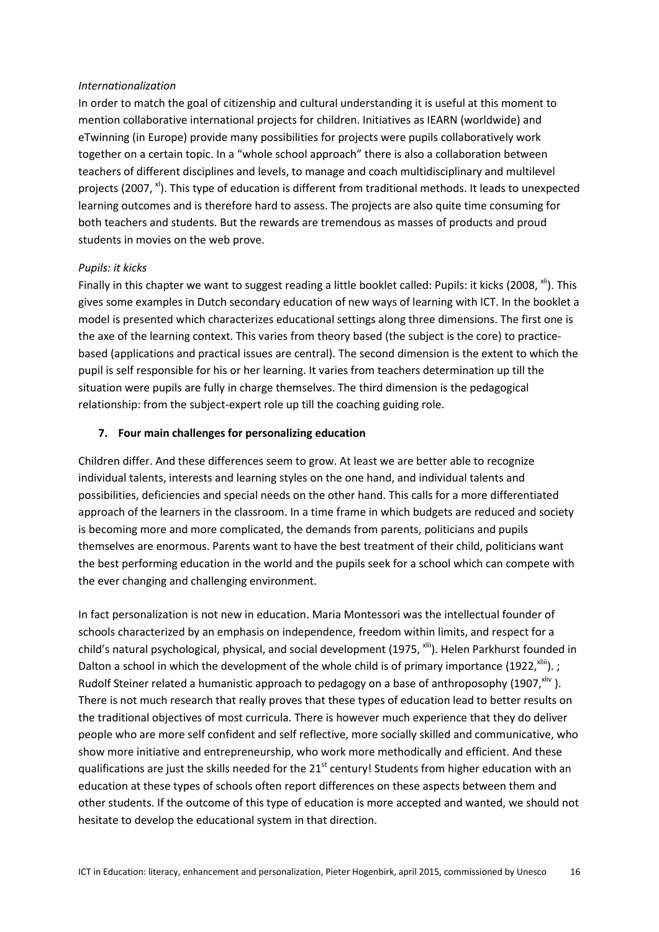### *Internationalization*

In order to match the goal of citizenship and cultural understanding it is useful at this moment to mention collaborative international projects for children. Initiatives as IEARN (worldwide) and eTwinning (in Europe) provide many possibilities for projects were pupils collaboratively work together on a certain topic. In a "whole school approach" there is also a collaboration between teachers of different disciplines and levels, to manage and coach multidisciplinary and multilevel projects (2007,  $x$ ). This type of education is different from traditional methods. It leads to unexpected learning outcomes and is therefore hard to assess. The projects are also quite time consuming for both teachers and students. But the rewards are tremendous as masses of products and proud students in movies on the web prove.

#### *Pupils: it kicks*

Finally in this chapter we want to suggest reading a little booklet called: Pupils: it kicks (2008,  $x^{1/2}$ ). This gives some examples in Dutch secondary education of new ways of learning with ICT. In the booklet a model is presented which characterizes educational settings along three dimensions. The first one is the axe of the learning context. This varies from theory based (the subject is the core) to practicebased (applications and practical issues are central). The second dimension is the extent to which the pupil is self responsible for his or her learning. It varies from teachers determination up till the situation were pupils are fully in charge themselves. The third dimension is the pedagogical relationship: from the subject-expert role up till the coaching guiding role.

## **7. Four main challenges for personalizing education**

Children differ. And these differences seem to grow. At least we are better able to recognize individual talents, interests and learning styles on the one hand, and individual talents and possibilities, deficiencies and special needs on the other hand. This calls for a more differentiated approach of the learners in the classroom. In a time frame in which budgets are reduced and society is becoming more and more complicated, the demands from parents, politicians and pupils themselves are enormous. Parents want to have the best treatment of their child, politicians want the best performing education in the world and the pupils seek for a school which can compete with the ever changing and challenging environment.

In fact personalization is not new in education. Maria Montessori was the intellectual founder of schools characterized by an emphasis on independence, freedom within limits, and respect for a child's natural [psychological,](http://en.wikipedia.org/wiki/Psychology) physical, and social development (1975, x<sup>lii</sup>). Helen Parkhurst founded in Dalton a school in which the development of the whole child is of primary importance (1922,  $x_{\text{min}}$ ). ; Rudolf Steiner related a humanistic approach to pedagogy on a base of anthroposophy (1907, xliv). There is not much research that really proves that these types of education lead to better results on the traditional objectives of most curricula. There is however much experience that they do deliver people who are more self confident and self reflective, more socially skilled and communicative, who show more initiative and entrepreneurship, who work more methodically and efficient. And these qualifications are just the skills needed for the 21<sup>st</sup> century! Students from higher education with an education at these types of schools often report differences on these aspects between them and other students. If the outcome of this type of education is more accepted and wanted, we should not hesitate to develop the educational system in that direction.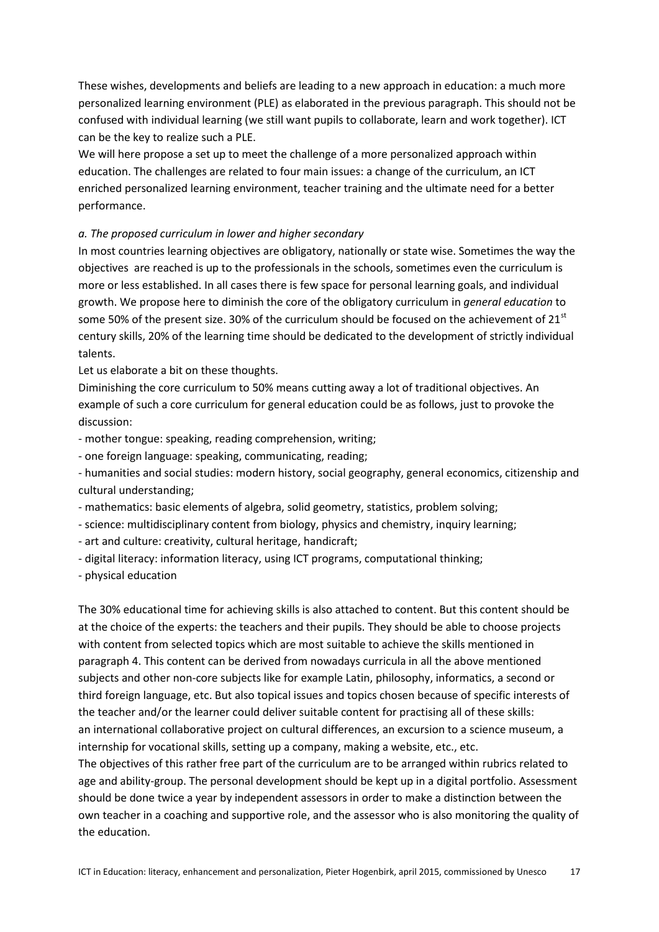These wishes, developments and beliefs are leading to a new approach in education: a much more personalized learning environment (PLE) as elaborated in the previous paragraph. This should not be confused with individual learning (we still want pupils to collaborate, learn and work together). ICT can be the key to realize such a PLE.

We will here propose a set up to meet the challenge of a more personalized approach within education. The challenges are related to four main issues: a change of the curriculum, an ICT enriched personalized learning environment, teacher training and the ultimate need for a better performance.

## *a. The proposed curriculum in lower and higher secondary*

In most countries learning objectives are obligatory, nationally or state wise. Sometimes the way the objectives are reached is up to the professionals in the schools, sometimes even the curriculum is more or less established. In all cases there is few space for personal learning goals, and individual growth. We propose here to diminish the core of the obligatory curriculum in *general education* to some 50% of the present size. 30% of the curriculum should be focused on the achievement of  $21<sup>st</sup>$ century skills, 20% of the learning time should be dedicated to the development of strictly individual talents.

Let us elaborate a bit on these thoughts.

Diminishing the core curriculum to 50% means cutting away a lot of traditional objectives. An example of such a core curriculum for general education could be as follows, just to provoke the discussion:

- mother tongue: speaking, reading comprehension, writing;

- one foreign language: speaking, communicating, reading;

- humanities and social studies: modern history, social geography, general economics, citizenship and cultural understanding;

- mathematics: basic elements of algebra, solid geometry, statistics, problem solving;

- science: multidisciplinary content from biology, physics and chemistry, inquiry learning;

- art and culture: creativity, cultural heritage, handicraft;

- digital literacy: information literacy, using ICT programs, computational thinking;

- physical education

The 30% educational time for achieving skills is also attached to content. But this content should be at the choice of the experts: the teachers and their pupils. They should be able to choose projects with content from selected topics which are most suitable to achieve the skills mentioned in paragraph 4. This content can be derived from nowadays curricula in all the above mentioned subjects and other non-core subjects like for example Latin, philosophy, informatics, a second or third foreign language, etc. But also topical issues and topics chosen because of specific interests of the teacher and/or the learner could deliver suitable content for practising all of these skills: an international collaborative project on cultural differences, an excursion to a science museum, a internship for vocational skills, setting up a company, making a website, etc., etc.

The objectives of this rather free part of the curriculum are to be arranged within rubrics related to age and ability-group. The personal development should be kept up in a digital portfolio. Assessment should be done twice a year by independent assessors in order to make a distinction between the own teacher in a coaching and supportive role, and the assessor who is also monitoring the quality of the education.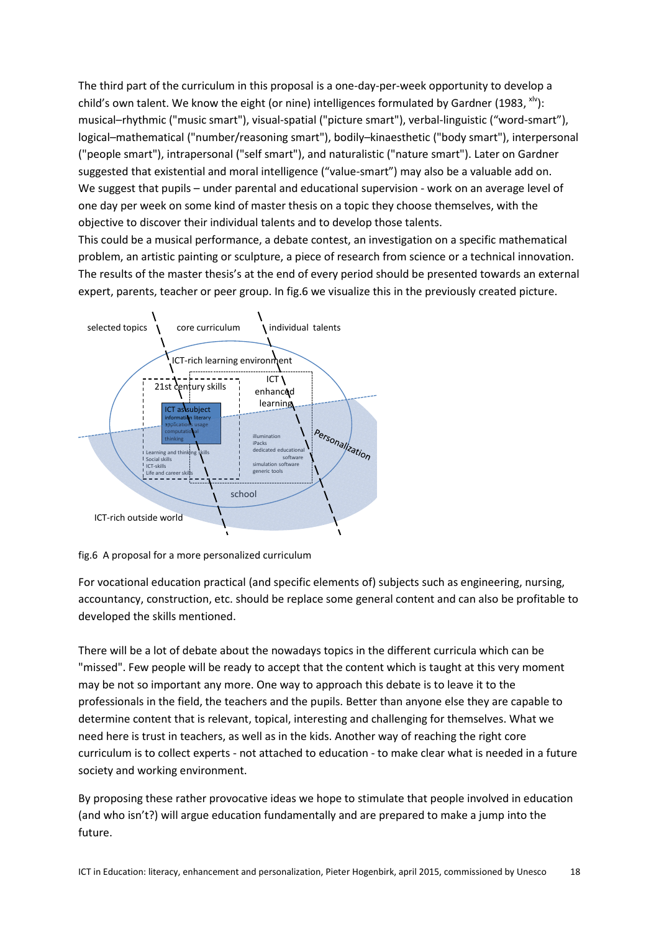The third part of the curriculum in this proposal is a one-day-per-week opportunity to develop a child's own talent. We know the eight (or nine) intelligences formulated by Gardner (1983,  $x^{1/2}$ ): musical–rhythmic ("music smart"), visual-spatial ("picture smart"), verbal-linguistic ("word-smart"), logical–mathematical ("number/reasoning smart"), bodily–kinaesthetic ("body smart"), interpersonal ("people smart"), intrapersonal ("self smart"), and naturalistic ("nature smart"). Later on Gardner suggested that existential and moral intelligence ("value-smart") may also be a valuable add on. We suggest that pupils – under parental and educational supervision - work on an average level of one day per week on some kind of master thesis on a topic they choose themselves, with the objective to discover their individual talents and to develop those talents.

This could be a musical performance, a debate contest, an investigation on a specific mathematical problem, an artistic painting or sculpture, a piece of research from science or a technical innovation. The results of the master thesis's at the end of every period should be presented towards an external expert, parents, teacher or peer group. In fig.6 we visualize this in the previously created picture.



fig.6 A proposal for a more personalized curriculum

For vocational education practical (and specific elements of) subjects such as engineering, nursing, accountancy, construction, etc. should be replace some general content and can also be profitable to developed the skills mentioned.

There will be a lot of debate about the nowadays topics in the different curricula which can be "missed". Few people will be ready to accept that the content which is taught at this very moment may be not so important any more. One way to approach this debate is to leave it to the professionals in the field, the teachers and the pupils. Better than anyone else they are capable to determine content that is relevant, topical, interesting and challenging for themselves. What we need here is trust in teachers, as well as in the kids. Another way of reaching the right core curriculum is to collect experts - not attached to education - to make clear what is needed in a future society and working environment.

By proposing these rather provocative ideas we hope to stimulate that people involved in education (and who isn't?) will argue education fundamentally and are prepared to make a jump into the future.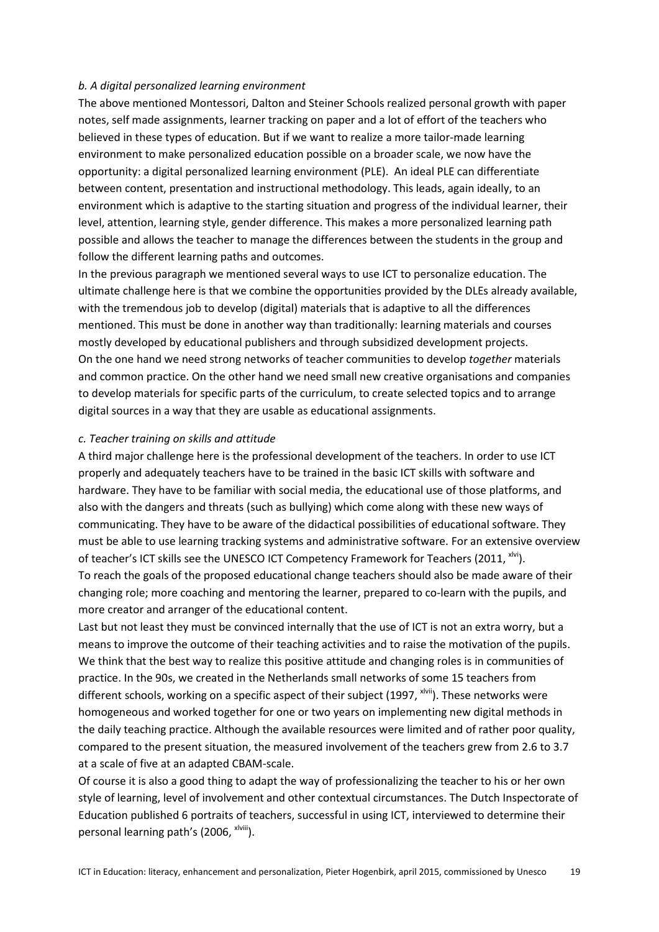#### *b. A digital personalized learning environment*

The above mentioned Montessori, Dalton and Steiner Schools realized personal growth with paper notes, self made assignments, learner tracking on paper and a lot of effort of the teachers who believed in these types of education. But if we want to realize a more tailor-made learning environment to make personalized education possible on a broader scale, we now have the opportunity: a digital personalized learning environment (PLE). An ideal PLE can differentiate between content, presentation and instructional methodology. This leads, again ideally, to an environment which is adaptive to the starting situation and progress of the individual learner, their level, attention, learning style, gender difference. This makes a more personalized learning path possible and allows the teacher to manage the differences between the students in the group and follow the different learning paths and outcomes.

In the previous paragraph we mentioned several ways to use ICT to personalize education. The ultimate challenge here is that we combine the opportunities provided by the DLEs already available, with the tremendous job to develop (digital) materials that is adaptive to all the differences mentioned. This must be done in another way than traditionally: learning materials and courses mostly developed by educational publishers and through subsidized development projects. On the one hand we need strong networks of teacher communities to develop *together* materials and common practice. On the other hand we need small new creative organisations and companies to develop materials for specific parts of the curriculum, to create selected topics and to arrange digital sources in a way that they are usable as educational assignments.

#### *c. Teacher training on skills and attitude*

A third major challenge here is the professional development of the teachers. In order to use ICT properly and adequately teachers have to be trained in the basic ICT skills with software and hardware. They have to be familiar with social media, the educational use of those platforms, and also with the dangers and threats (such as bullying) which come along with these new ways of communicating. They have to be aware of the didactical possibilities of educational software. They must be able to use learning tracking systems and administrative software. For an extensive overview of teacher's ICT skills see the [UNESCO ICT Competency Framework for Teachers](http://unesdoc.unesco.org/images/0021/002134/213475e.pdf) (2011, xlvi). To reach the goals of the proposed educational change teachers should also be made aware of their changing role; more coaching and mentoring the learner, prepared to co-learn with the pupils, and more creator and arranger of the educational content.

Last but not least they must be convinced internally that the use of ICT is not an extra worry, but a means to improve the outcome of their teaching activities and to raise the motivation of the pupils. We think that the best way to realize this positive attitude and changing roles is in communities of practice. In the 90s, we created in the Netherlands small networks of some 15 teachers from different schools, working on a specific aspect of their subject (1997, <sup>xlvii</sup>). These networks were homogeneous and worked together for one or two years on implementing new digital methods in the daily teaching practice. Although the available resources were limited and of rather poor quality, compared to the present situation, the measured involvement of the teachers grew from 2.6 to 3.7 at a scale of five at an adapted CBAM-scale.

Of course it is also a good thing to adapt the way of professionalizing the teacher to his or her own style of learning, level of involvement and other contextual circumstances. The Dutch Inspectorate of Education published 6 portraits of teachers, successful in using ICT, interviewed to determine their personal learning path's (2006, xlviii).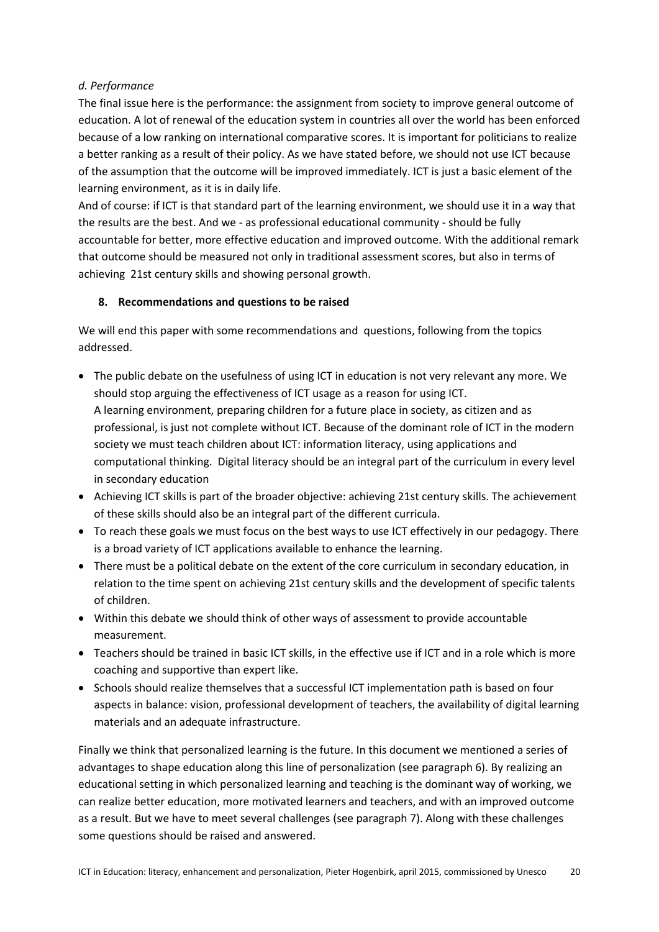## *d. Performance*

The final issue here is the performance: the assignment from society to improve general outcome of education. A lot of renewal of the education system in countries all over the world has been enforced because of a low ranking on international comparative scores. It is important for politicians to realize a better ranking as a result of their policy. As we have stated before, we should not use ICT because of the assumption that the outcome will be improved immediately. ICT is just a basic element of the learning environment, as it is in daily life.

And of course: if ICT is that standard part of the learning environment, we should use it in a way that the results are the best. And we - as professional educational community - should be fully accountable for better, more effective education and improved outcome. With the additional remark that outcome should be measured not only in traditional assessment scores, but also in terms of achieving 21st century skills and showing personal growth.

# **8. Recommendations and questions to be raised**

We will end this paper with some recommendations and questions, following from the topics addressed.

- The public debate on the usefulness of using ICT in education is not very relevant any more. We should stop arguing the effectiveness of ICT usage as a reason for using ICT. A learning environment, preparing children for a future place in society, as citizen and as professional, is just not complete without ICT. Because of the dominant role of ICT in the modern society we must teach children about ICT: information literacy, using applications and computational thinking. Digital literacy should be an integral part of the curriculum in every level in secondary education
- Achieving ICT skills is part of the broader objective: achieving 21st century skills. The achievement of these skills should also be an integral part of the different curricula.
- To reach these goals we must focus on the best ways to use ICT effectively in our pedagogy. There is a broad variety of ICT applications available to enhance the learning.
- There must be a political debate on the extent of the core curriculum in secondary education, in relation to the time spent on achieving 21st century skills and the development of specific talents of children.
- Within this debate we should think of other ways of assessment to provide accountable measurement.
- Teachers should be trained in basic ICT skills, in the effective use if ICT and in a role which is more coaching and supportive than expert like.
- Schools should realize themselves that a successful ICT implementation path is based on four aspects in balance: vision, professional development of teachers, the availability of digital learning materials and an adequate infrastructure.

Finally we think that personalized learning is the future. In this document we mentioned a series of advantages to shape education along this line of personalization (see paragraph 6). By realizing an educational setting in which personalized learning and teaching is the dominant way of working, we can realize better education, more motivated learners and teachers, and with an improved outcome as a result. But we have to meet several challenges (see paragraph 7). Along with these challenges some questions should be raised and answered.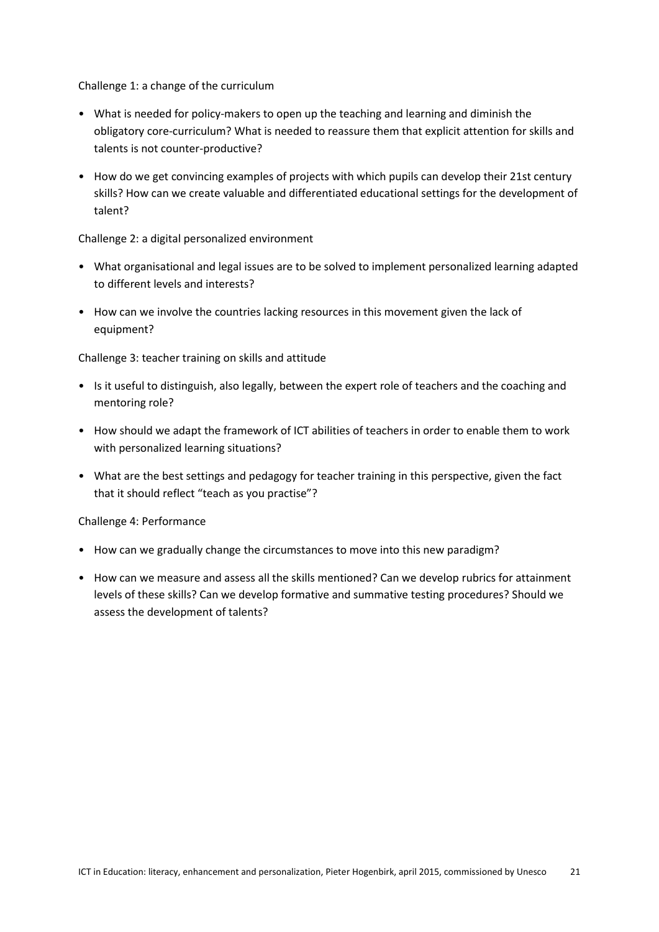Challenge 1: a change of the curriculum

- What is needed for policy-makers to open up the teaching and learning and diminish the obligatory core-curriculum? What is needed to reassure them that explicit attention for skills and talents is not counter-productive?
- How do we get convincing examples of projects with which pupils can develop their 21st century skills? How can we create valuable and differentiated educational settings for the development of talent?

### Challenge 2: a digital personalized environment

- What organisational and legal issues are to be solved to implement personalized learning adapted to different levels and interests?
- How can we involve the countries lacking resources in this movement given the lack of equipment?

Challenge 3: teacher training on skills and attitude

- Is it useful to distinguish, also legally, between the expert role of teachers and the coaching and mentoring role?
- How should we adapt the framework of ICT abilities of teachers in order to enable them to work with personalized learning situations?
- What are the best settings and pedagogy for teacher training in this perspective, given the fact that it should reflect "teach as you practise"?

Challenge 4: Performance

- How can we gradually change the circumstances to move into this new paradigm?
- How can we measure and assess all the skills mentioned? Can we develop rubrics for attainment levels of these skills? Can we develop formative and summative testing procedures? Should we assess the development of talents?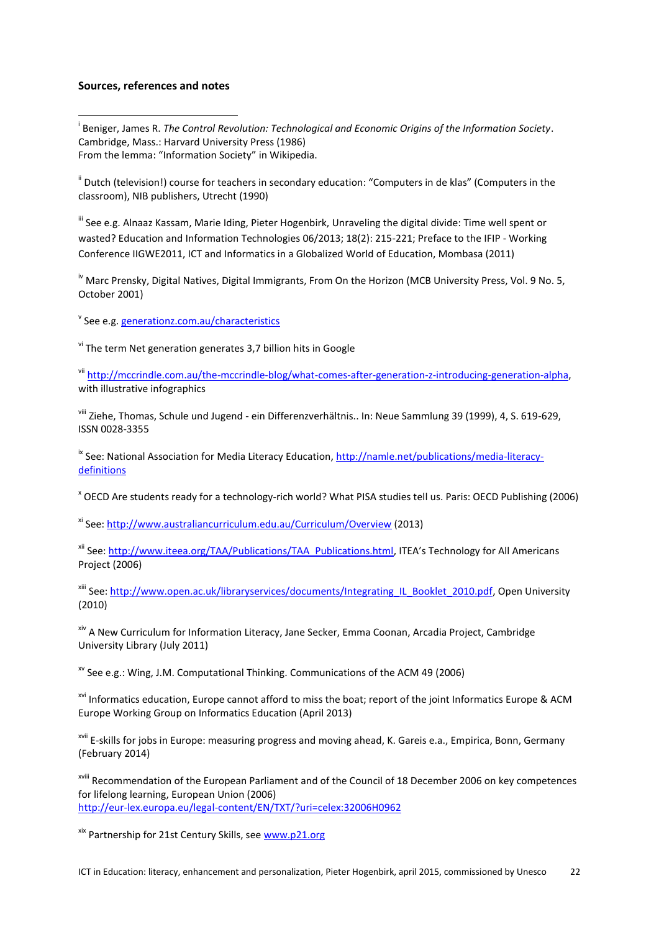#### **Sources, references and notes**

**.** 

i Beniger, James R. *The Control Revolution: Technological and Economic Origins of the Information Society*. Cambridge, Mass.: Harvard University Press (1986) From the lemma: "Information Society" in Wikipedia.

ii Dutch (television!) course for teachers in secondary education: "Computers in de klas" (Computers in the classroom), NIB publishers, Utrecht (1990)

 $\mathsf{u}$  See e.g. [Alnaaz Kassam,](file:///C:/Users/P.G.%20Hogenbirk/Documents/Pieter/Unesco/researcher/2048299328_Alnaaz_Kassam) [Marie Iding,](file:///C:/Users/P.G.%20Hogenbirk/Documents/Pieter/Unesco/researcher/10021674_Marie_Iding) Pieter Hogenbirk, Unraveling the digital divide: Time well spent or wasted? Education and Information Technologies 06/2013; 18(2): 215-221; Preface to the IFIP - Working Conference IIGWE2011, ICT and Informatics in a Globalized World of Education, Mombasa (2011)

<sup>iv</sup> Marc Prensky, Digital Natives, Digital Immigrants, From On the Horizon (MCB University Press, Vol. 9 No. 5, October 2001)

<sup>v</sup> See e.g. <u>generationz.com.au/characteristics</u>

 $v$ <sup>i</sup> The term Net generation generates 3,7 billion hits in Google

vii [http://mccrindle.com.au/the-mccrindle-blog/what-comes-after-generation-z-introducing-generation-alpha,](http://mccrindle.com.au/the-mccrindle-blog/what-comes-after-generation-z-introducing-generation-alpha) with illustrative infographics

viii Ziehe, Thomas, Schule und Jugend - ein Differenzverhältnis.. In: Neue Sammlung 39 (1999), 4, S. 619-629, ISSN 0028-3355

<sup>ix</sup> See: National Association for Media Literacy Education, [http://namle.net/publications/media-literacy](http://namle.net/publications/media-literacy-definitions)[definitions](http://namle.net/publications/media-literacy-definitions)

<sup>x</sup> OECD Are students ready for a technology-rich world? What PISA studies tell us. Paris: OECD Publishing (2006)

xi See: <http://www.australiancurriculum.edu.au/Curriculum/Overview> (2013)

xii See: [http://www.iteea.org/TAA/Publications/TAA\\_Publications.html](http://www.iteea.org/TAA/Publications/TAA_Publications.html), ITEA's Technology for All Americans Project (2006)

xiii See: [http://www.open.ac.uk/libraryservices/documents/Integrating\\_IL\\_Booklet\\_2010.pdf,](http://www.open.ac.uk/libraryservices/documents/Integrating_IL_Booklet_2010.pdf) Open University (2010)

xiv A New Curriculum for Information Literacy, Jane Secker, Emma Coonan, Arcadia Project, Cambridge University Library (July 2011)

 $\frac{x}{x}$  See e.g.: Wing, J.M. Computational Thinking. Communications of the ACM 49 (2006)

xvi Informatics education, Europe cannot afford to miss the boat; report of the joint Informatics Europe & ACM Europe Working Group on Informatics Education (April 2013)

<sup>xvii</sup> E-skills for jobs in Europe: measuring progress and moving ahead, K. Gareis e.a., Empirica, Bonn, Germany (February 2014)

xviii Recommendation of the European Parliament and of the Council of 18 December 2006 on key competences for lifelong learning, European Union (2006) <http://eur-lex.europa.eu/legal-content/EN/TXT/?uri=celex:32006H0962>

xix Partnership for 21st Century Skills, see [www.p21.org](http://www.p21.org/)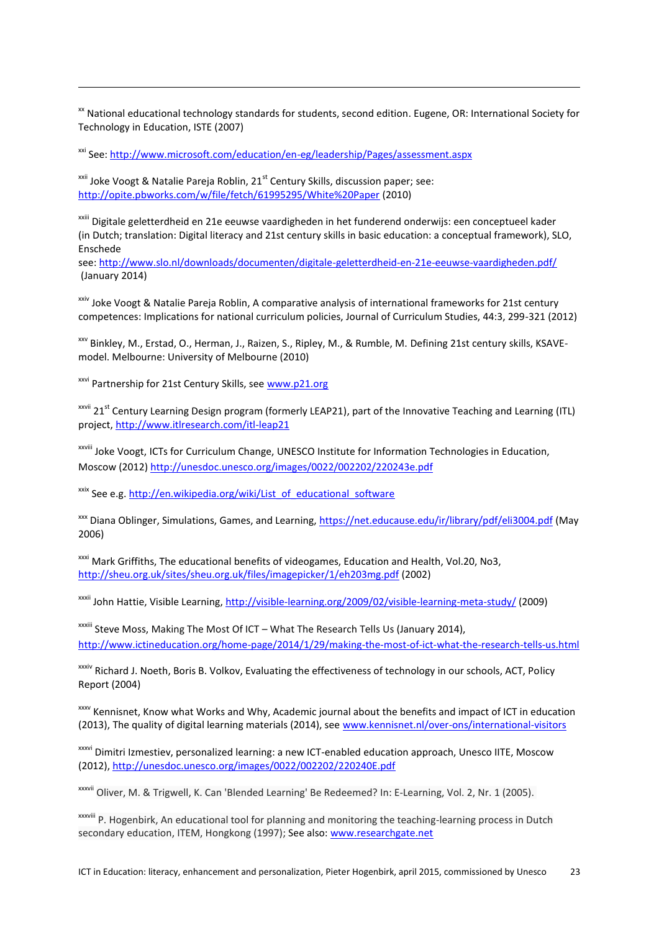<sup>xx</sup> National educational technology standards for students, second edition. Eugene, OR: International Society for Technology in Education, ISTE (2007)

xxi See[: http://www.microsoft.com/education/en-eg/leadership/Pages/assessment.aspx](http://www.microsoft.com/education/en-eg/leadership/Pages/assessment.aspx)

 $x^{\text{axii}}$  Joke Voogt & Natalie Pareja Roblin, 21<sup>st</sup> Century Skills, discussion paper; see: <http://opite.pbworks.com/w/file/fetch/61995295/White%20Paper> (2010)

xxiii Digitale geletterdheid en 21e eeuwse vaardigheden in het funderend onderwijs: een conceptueel kader (in Dutch; translation: Digital literacy and 21st century skills in basic education: a conceptual framework), SLO, Enschede

see[: http://www.slo.nl/downloads/documenten/digitale-geletterdheid-en-21e-eeuwse-vaardigheden.pdf/](http://www.slo.nl/downloads/documenten/digitale-geletterdheid-en-21e-eeuwse-vaardigheden.pdf/) (January 2014)

<sup>xxiv</sup> Joke Voogt & Natalie Pareja Roblin, A comparative analysis of international frameworks for 21st century competences: Implications for national curriculum policies, Journal of Curriculum Studies, 44:3, 299-321 (2012)

xxv Binkley, M., Erstad, O., Herman, J., Raizen, S., Ripley, M., & Rumble, M. Defining 21st century skills, KSAVEmodel. Melbourne: University of Melbourne (2010)

xxvi Partnership for 21st Century Skills, see [www.p21.org](http://www.p21.org/)

 $\overline{a}$ 

<sup>xxvii</sup> 21<sup>st</sup> Century Learning Design program (formerly LEAP21), part of the Innovative Teaching and Learning (ITL) project[, http://www.itlresearch.com/itl-leap21](http://www.itlresearch.com/itl-leap21)

xxviii Joke Voogt, ICTs for Curriculum Change, UNESCO Institute for Information Technologies in Education, Moscow (2012)<http://unesdoc.unesco.org/images/0022/002202/220243e.pdf>

xxix See e.g. [http://en.wikipedia.org/wiki/List\\_of\\_educational\\_software](http://en.wikipedia.org/wiki/List_of_educational_software)

<sup>xxx</sup> Diana Oblinger, Simulations, Games, and Learning,<https://net.educause.edu/ir/library/pdf/eli3004.pdf> (May 2006)

xxxi Mark Griffiths, The educational benefits of videogames, Education and Health, Vol.20, No3, <http://sheu.org.uk/sites/sheu.org.uk/files/imagepicker/1/eh203mg.pdf> (2002)

xxxii John Hattie, Visible Learning,<http://visible-learning.org/2009/02/visible-learning-meta-study/> (2009)

xxxiii Steve Moss, [Making The Most Of ICT](http://www.ictineducation.org/home-page/2014/1/29/making-the-most-of-ict-what-the-research-tells-us.html) – What The Research Tells Us (January 2014), <http://www.ictineducation.org/home-page/2014/1/29/making-the-most-of-ict-what-the-research-tells-us.html>

xxxiv Richard J. Noeth, Boris B. Volkov, Evaluating the effectiveness of technology in our schools, ACT, Policy Report (2004)

xxxv Kennisnet, Know what Works and Why, Academic journal about the benefits and impact of ICT in education (2013), The quality of digital learning materials (2014), see [www.kennisnet.nl/over-ons/international-visitors](http://www.kennisnet.nl/over-ons/international-visitors)

xxxvi Dimitri Izmestiev, personalized learning: a new ICT-enabled education approach, Unesco IITE, Moscow (2012),<http://unesdoc.unesco.org/images/0022/002202/220240E.pdf>

xxxvii Oliver, M. & Trigwell, K. Can 'Blended Learning' Be Redeemed? In: E-Learning, Vol. 2, Nr. 1 (2005).

xxxviii P. Hogenbirk, An educational tool for planning and monitoring the teaching-learning process in Dutch secondary education, ITEM, Hongkong (1997); See also[: www.researchgate.net](http://www.researchgate.net/)